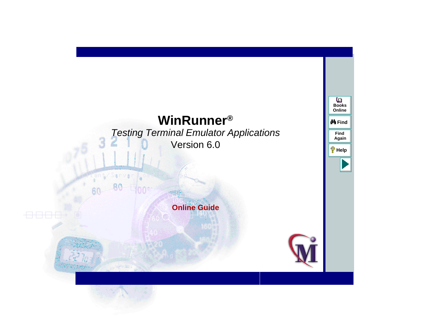# **WinRunnerF**<sup>®</sup> **a** *<b>a a <b>* Testing Terminal Emulator Applications Version 6.0

3

# **Online Guide**



**Find**

**Again**

**Help**

**Books Online**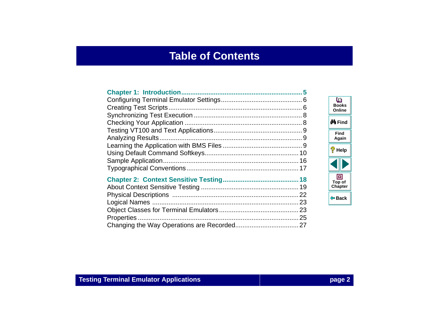# **Table of Contents**

<span id="page-1-0"></span>

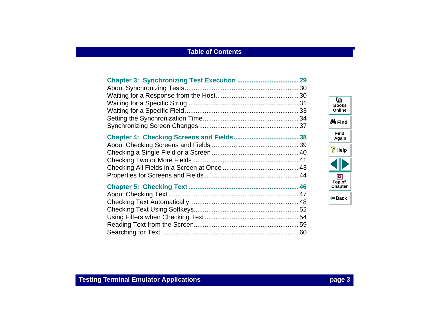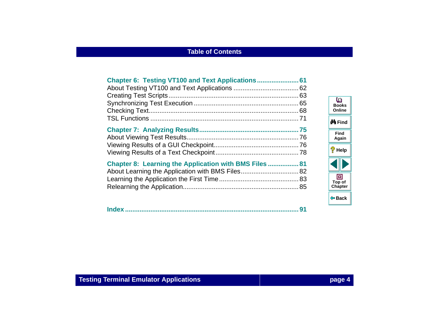| Chapter 8: Learning the Application with BMS Files  81 |  |
|--------------------------------------------------------|--|

|--|--|

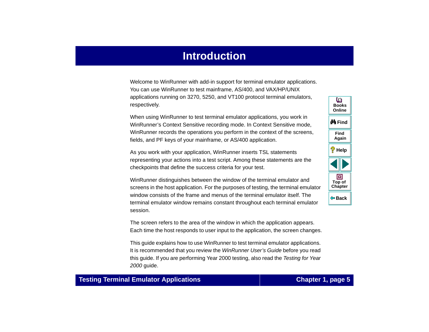# **Introduction**

<span id="page-4-1"></span><span id="page-4-0"></span>Welcome to WinRunner with add-in support for terminal emulator applications. You can use WinRunner to test mainframe, AS/400, and VAX/HP/UNIX applications running on 3270, 5250, and VT100 protocol terminal emulators, respectively.

When using WinRunner to test terminal emulator applications, you work in WinRunner's Context Sensitive recording mode. In Context Sensitive mode, WinRunner records the operations you perform in the context of the screens, fields, and PF keys of your mainframe, or AS/400 application.

As you work with your application, WinRunner inserts TSL statements representing your actions into a test script. Among these statements are the checkpoints that define the success criteria for your test.

WinRunner distinguishes between the window of the terminal emulator and screens in the host application. For the purposes of testing, the terminal emulator window consists of the frame and menus of the terminal emulator itself. The terminal emulator window remains constant throughout each terminal emulator session.

The screen refers to the area of the window in which the application appears. Each time the host responds to user input to the application, the screen changes.

This guide explains how to use WinRunner to test terminal emulator applications. It is recommended that you review the WinRunner User's Guide before you read this guide. If you are performing Year 2000 testing, also read the Testing for Year 2000 guide.

**Back**

**[Chapter](#page-4-1) Top of**

回

**Find**

**Again**

**Help**

**do Find** 

**BooksOnline**

o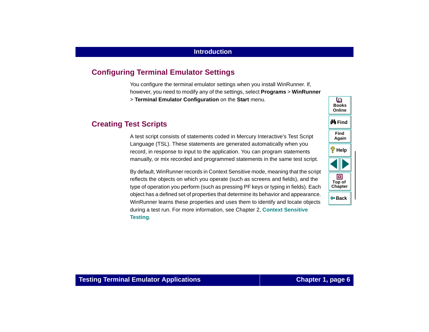# <span id="page-5-0"></span>**Configuring Terminal Emulator Settings**

You configure the terminal emulator settings when you install WinRunner. If, however, you need to modify any of the settings, select **Programs** <sup>&</sup>gt;**WinRunner** <sup>&</sup>gt;**Terminal Emulator Configuration** on the **Start** menu.

# <span id="page-5-1"></span>**Creating Test Scripts**

A test script consists of statements coded in Mercury Interactive's Test Script Language (TSL). These statements are generated automatically when you record, in response to input to the application. You can program statements manually, or mix recorded and programmed statements in the same test script.

By default, WinRunner records in Context Sensitive mode, meaning that the script reflects the objects on which you operate (such as screens and fields), and the type of operation you perform (such as pressing PF keys or typing in fields). Each object has a defined set of properties that determine its behavior and appearance. WinRunner learns these properties and uses them to identify and locate objects during a test run. For more information, see Chapter 2, **Context Sensitive Testing**.

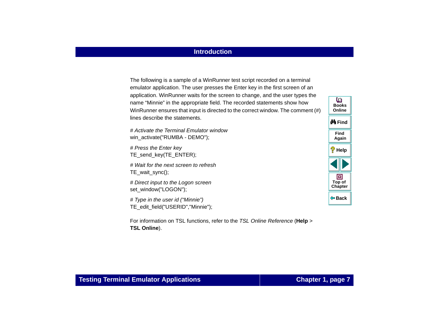### **Introduction**

The following is a sample of a WinRunner test script recorded on a terminal emulator application. The user presses the Enter key in the first screen of an application. WinRunner waits for the screen to change, and the user types the name "Minnie" in the appropriate field. The recorded statements show how WinRunner ensures that input is directed to the correct window. The comment (#) lines describe the statements.

# Activate the Terminal Emulator windowwin\_activate("RUMBA - DEMO");

# Press the Enter key TE\_send\_key(TE\_ENTER);

# Wait for the next screen to refreshTE\_wait\_sync();

# Direct input to the Logon screen set\_window("LOGON");

# Type in the user id ("Minnie") TE\_edit\_field("USERID","Minnie");

For information on TSL functions, refer to the TSL Online Reference (**Help** <sup>&</sup>gt; **TSL Online**).

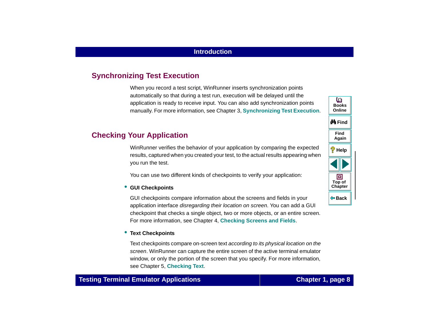# <span id="page-7-0"></span>**Synchronizing Test Execution**

When you record a test script, WinRunner inserts synchronization points automatically so that during a test run, execution will be delayed until the application is ready to receive input. You can also add synchronization points manually. For more information, see Chapter 3, **[Synchronizing Test Execution](#page-28-1)**.

# <span id="page-7-1"></span>**Checking Your Application**

WinRunner verifies the behavior of your application by comparing the expected results, captured when you created your test, to the actual results appearing when you run the test.

You can use two different kinds of checkpoints to verify your application:

#### • **GUI Checkpoints**

GUI checkpoints compare information about the screens and fields in your application interface disregarding their location on screen. You can add a GUI checkpoint that checks a single object, two or more objects, or an entire screen. For more information, see Chapter 4, **[Checking Screens and Fields](#page-37-1)**.

#### • **Text Checkpoints**

Text checkpoints compare on-screen text according to its physical location on the screen. WinRunner can capture the entire screen of the active terminal emulator window, or only the portion of the screen that you specify. For more information, see Chapter 5, **[Checking Text](#page-45-1)**.



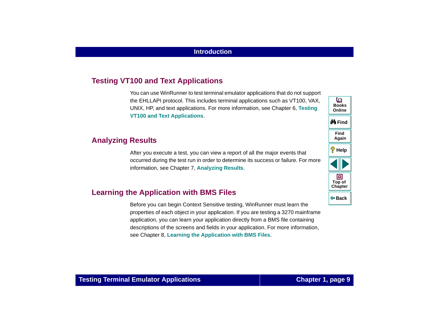# <span id="page-8-0"></span>**Testing VT100 and Text Applications**

You can use WinRunner to test terminal emulator applications that do not support the EHLLAPI protocol. This includes terminal applications such as VT100, VAX, UNIX, HP, and text applications. For more information, see Chapter 6, **[Testing](#page-60-1)  [VT100 and Text Applications](#page-60-1)**.

### <span id="page-8-1"></span>**Analyzing Results**

After you execute a test, you can view a report of all the major events that occurred during the test run in order to determine its success or failure. For more information, see Chapter 7, **[Analyzing Results](#page-74-1)**.

# <span id="page-8-2"></span>**Learning the Application with BMS Files**

Before you can begin Context Sensitive testing, WinRunner must learn the properties of each object in your application. If you are testing a 3270 mainframe application, you can learn your application directly from a BMS file containing descriptions of the screens and fields in your application. For more information, see Chapter 8, **[Learning the Application with BMS Files](#page-80-1)**.

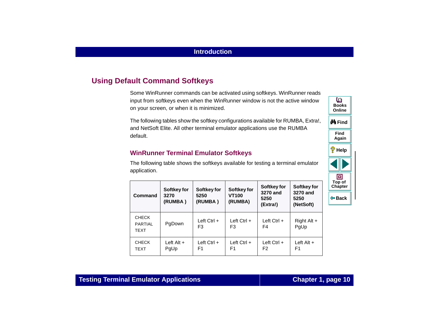# <span id="page-9-0"></span>**Using Default Command Softkeys**

Some WinRunner commands can be activated using softkeys. WinRunner reads input from softkeys even when the WinRunner window is not the active window on your screen, or when it is minimized.

The following tables show the softkey configurations available for RUMBA, Extra!, and NetSoft Elite. All other terminal emulator applications use the RUMBA default.

### **WinRunner Terminal Emulator Softkeys**

The following table shows the softkeys available for testing a terminal emulator application.

| Command                                       | Softkey for<br>3270<br>(RUMBA ) | Softkey for<br>5250<br>(RUMBA)  | Softkey for<br><b>VT100</b><br>(RUMBA) | Softkey for<br>3270 and<br>5250<br>(Extra!) | Softkey for<br>3270 and<br>5250<br>(NetSoft) |
|-----------------------------------------------|---------------------------------|---------------------------------|----------------------------------------|---------------------------------------------|----------------------------------------------|
| <b>CHECK</b><br><b>PARTIAL</b><br><b>TEXT</b> | PgDown                          | Left $Ctrl +$<br>F <sub>3</sub> | Left $Ctrl +$<br>F3                    | Left $Ctrl +$<br>F4                         | Right Alt $+$<br>PqUp                        |
| <b>CHECK</b><br><b>TEXT</b>                   | Left $Alt +$<br>PgUp            | Left $Ctrl +$<br>F1             | Left $Ctrl +$<br>F1                    | Left $Ctrl +$<br>F2                         | Left $Alt +$<br>F1                           |



### **Testing Terminal Emulator Applications Chapter 1, page 10**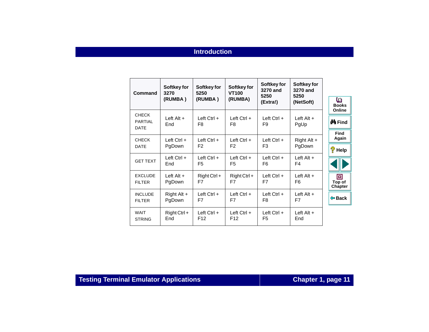### **Introduction**

| Command                                       | Softkey for<br>3270<br>(RUMBA) | Softkey for<br>5250<br>(RUMBA)   | Softkey for<br><b>VT100</b><br>(RUMBA) | Softkey for<br>3270 and<br>5250<br>(Extra!) | Softkey for<br>3270 and<br>5250<br>(NetSoft) | ७<br><b>Books</b><br>Online       |
|-----------------------------------------------|--------------------------------|----------------------------------|----------------------------------------|---------------------------------------------|----------------------------------------------|-----------------------------------|
| <b>CHECK</b><br><b>PARTIAL</b><br><b>DATE</b> | $Left$ Alt $+$<br>End          | Left $Ctrl +$<br>F <sub>8</sub>  | Left $Ctrl +$<br>F <sub>8</sub>        | Left $Ctrl +$<br>F9                         | Left $Alt +$<br>PgUp                         | <b>¢Å</b> Find                    |
| <b>CHECK</b><br><b>DATE</b>                   | Left $Ctrl +$<br>PgDown        | Left $Ctrl +$<br>F <sub>2</sub>  | Left $Ctrl +$<br>F <sub>2</sub>        | Left $Ctrl +$<br>F <sub>3</sub>             | Right Alt $+$<br>PgDown                      | <b>Find</b><br>Again<br>?<br>Help |
| <b>GET TEXT</b>                               | Left $Ctrl +$<br>End           | Left $Ctrl +$<br>F <sub>5</sub>  | Left $Ctrl +$<br>F <sub>5</sub>        | Left $Ctrl +$<br>F6                         | Left Alt $+$<br>F4                           |                                   |
| <b>EXCLUDE</b><br><b>FILTER</b>               | Left $Alt +$<br>PgDown         | $Right$ Ctrl +<br>F7             | $Right$ Ctrl +<br>F7                   | Left $Ctrl +$<br>F7                         | Left Alt $+$<br>F <sub>6</sub>               | ▣<br>Top of<br><b>Chapter</b>     |
| <b>INCLUDE</b><br><b>FILTER</b>               | Right Alt +<br>PgDown          | Left $Ctrl +$<br>F7              | Left $Ctrl +$<br>F7                    | Left $Ctrl +$<br>F8                         | Left $Alt +$<br>F7                           | <b>← Back</b>                     |
| <b>WAIT</b><br><b>STRING</b>                  | $Right$ Ctrl +<br>End          | Left $Ctrl +$<br>F <sub>12</sub> | Left $Ctrl +$<br>F <sub>12</sub>       | Left $Ctrl +$<br>F <sub>5</sub>             | Left $Alt +$<br>End                          |                                   |

**Testing Terminal Emulator Applications <b>Chapter 1, page 11**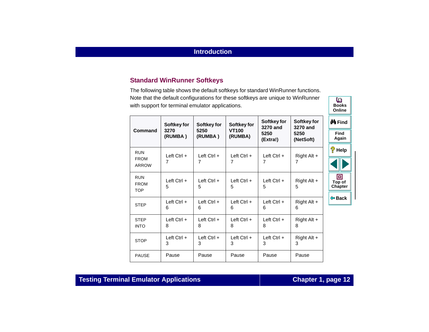### **Standard WinRunner Softkeys**

The following table shows the default softkeys for standard WinRunner functions. Note that the default configurations for these softkeys are unique to WinRunner with support for terminal emulator applications.

|                                         | Softkey for        | Softkey for        | Softkey for             | Softkey for<br>Softkey for<br>3270 and<br>3270 and |                    | <b>¢Å</b> Find         |
|-----------------------------------------|--------------------|--------------------|-------------------------|----------------------------------------------------|--------------------|------------------------|
| <b>Command</b>                          | 3270<br>(RUMBA)    | 5250<br>(RUMBA)    | <b>VT100</b><br>(RUMBA) | 5250<br>(Extra!)                                   | 5250<br>(NetSoft)  | <b>Find</b><br>Again   |
| <b>RUN</b>                              | Left $Ctrl +$      | Left $Ctrl +$      | Left $Ctrl +$           | Left $Ctrl +$                                      | Right Alt $+$      | ?<br>Help              |
| <b>FROM</b><br>ARROW                    | $\overline{7}$     | 7                  | $\overline{7}$          | 7                                                  | 7                  |                        |
| <b>RUN</b><br><b>FROM</b><br><b>TOP</b> | Left $Ctrl +$<br>5 | Left $Ctrl +$<br>5 | Left $Ctrl +$<br>5      | Left $Ctrl +$<br>5                                 | Right Alt $+$<br>5 | ▣<br>Top of<br>Chapter |
| <b>STEP</b>                             | Left $Ctrl +$<br>6 | Left $Ctrl +$<br>6 | Left $Ctrl +$<br>6      | Left $Ctrl +$<br>6                                 | Right Alt +<br>6   | <b>← Back</b>          |
| <b>STEP</b><br><b>INTO</b>              | Left $Ctrl +$<br>8 | Left $Ctrl +$<br>8 | Left $Ctrl +$<br>8      | Left $Ctrl +$<br>8                                 | Right Alt +<br>8   |                        |
| <b>STOP</b>                             | Left Ctrl +<br>3   | Left $Ctrl +$<br>3 | Left $Ctrl +$<br>3      | Left $Ctrl +$<br>3                                 | Right Alt +<br>3   |                        |
| <b>PAUSE</b>                            | Pause              | Pause              | Pause                   | Pause                                              | Pause              |                        |

## **Testing Terminal Emulator Applications Chapter 1, page 12**

**BooksOnline**

o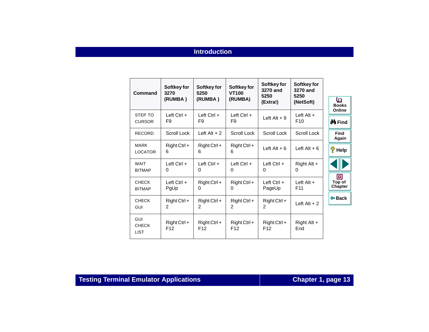### **Introduction**

| Command                                   | Softkey for<br>3270               | Softkey for<br>5250               | Softkey for<br><b>VT100</b>       | Softkey for<br>3270 and<br>5250   | Softkey for<br>3270 and<br>5250 |                               |
|-------------------------------------------|-----------------------------------|-----------------------------------|-----------------------------------|-----------------------------------|---------------------------------|-------------------------------|
|                                           | (RUMBA)                           | (RUMBA)                           | (RUMBA)                           | (Extra!)                          | (NetSoft)                       | o<br><b>Books</b><br>Online   |
| STEP TO<br><b>CURSOR</b>                  | Left $Ctrl +$<br>F9               | Left $Ctrl +$<br>F <sub>9</sub>   | Left $Ctrl +$<br>F9               | Left Alt $+9$                     | $Left$ Alt $+$<br>F10           | <b>¢4 F</b> ind               |
| <b>RECORD</b>                             | Scroll Lock                       | Left Alt $+2$                     | Scroll Lock                       | Scroll Lock                       | Scroll Lock                     | <b>Find</b><br>Again          |
| <b>MARK</b><br><b>LOCATOR</b>             | $Right$ Ctrl +<br>6               | $Right$ Ctrl +<br>6               | $Right$ Ctrl +<br>6               | Left Alt $+6$                     | Left Alt $+6$                   | ę<br>Help                     |
| <b>WAIT</b><br><b>BITMAP</b>              | Left $Ctrl +$<br>0                | Left $Ctrl +$<br>$\Omega$         | Left $Ctrl +$<br>0                | Left $Ctrl +$<br>0                | Right Alt $+$<br>0              |                               |
| <b>CHECK</b><br><b>BITMAP</b>             | Left $Ctrl +$<br>PgUp             | $Right$ Ctrl +<br>$\Omega$        | $Right$ Ctrl +<br>0               | Left $Ctrl +$<br>PageUp           | Left $Alt +$<br>F <sub>11</sub> | 回<br>Top of<br><b>Chapter</b> |
| <b>CHECK</b><br><b>GUI</b>                | $Right$ Ctrl +<br>$\overline{c}$  | $Right$ Ctrl +<br>$\overline{2}$  | $Right$ Ctrl +<br>$\overline{2}$  | $Right$ Ctrl +<br>$\overline{2}$  | Left $Alt + 2$                  | <b>← Back</b>                 |
| <b>GUI</b><br><b>CHECK</b><br><b>LIST</b> | $Right$ Ctrl +<br>F <sub>12</sub> | $Right$ Ctrl +<br>F <sub>12</sub> | $Right$ Ctrl +<br>F <sub>12</sub> | $Right$ Ctrl +<br>F <sub>12</sub> | Right Alt +<br>End              |                               |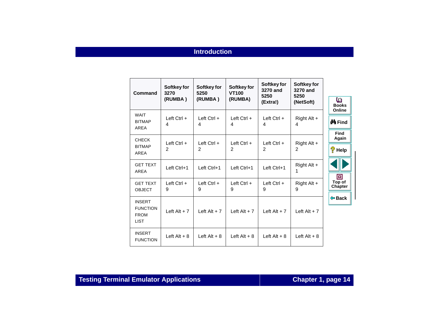### **Introduction**

| Command                                                        | Softkey for<br>3270<br>(RUMBA) | Softkey for<br>5250<br>(RUMBA) | Softkey for<br><b>VT100</b><br>(RUMBA) | Softkey for<br>3270 and<br>5250<br>(Extra!) | Softkey for<br>3270 and<br>5250<br>(NetSoft) | o<br><b>Books</b><br>Online |
|----------------------------------------------------------------|--------------------------------|--------------------------------|----------------------------------------|---------------------------------------------|----------------------------------------------|-----------------------------|
| <b>WAIT</b><br><b>BITMAP</b><br>AREA                           | Left Ctrl +<br>4               | Left Ctrl $+$<br>4             | $Left Crit +$<br>4                     | $Left Crit +$<br>4                          | Right Alt +<br>4                             | <b>∯å</b> Find              |
| <b>CHECK</b><br><b>BITMAP</b>                                  | Left $Ctrl +$                  | Left $Ctrl +$                  | Left $Ctrl +$                          | Left $Ctrl +$                               | Right Alt $+$                                | <b>Find</b><br>Again        |
| AREA                                                           | 2                              | $\overline{2}$                 | 2                                      | 2                                           | $\overline{2}$                               | စေ့<br>Help                 |
| <b>GET TEXT</b><br>AREA                                        | Left Ctrl+1                    | Left Ctrl+1                    | Left Ctrl+1                            | Left Ctrl+1                                 | Right Alt +<br>1                             | 回                           |
| <b>GET TEXT</b><br><b>OBJECT</b>                               | Left Ctrl +<br>9               | $Left$ Ctrl +<br>9             | $Left$ Ctrl +<br>9                     | Left $Ctrl +$<br>9                          | Right Alt +<br>9                             | Top of<br>Chapter           |
| <b>INSERT</b><br><b>FUNCTION</b><br><b>FROM</b><br><b>LIST</b> | Left Alt $+7$                  | Left Alt $+7$                  | Left Alt $+7$                          | Left Alt $+7$                               | Left $Alt + 7$                               | ⊕ Back                      |
| <b>INSERT</b><br><b>FUNCTION</b>                               | Left $Alt + 8$                 | Left $Alt + 8$                 | Left $Alt + 8$                         | Left $Alt + 8$                              | Left $Alt + 8$                               |                             |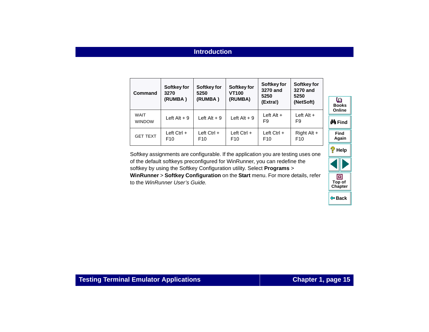| Command                      | Softkey for<br>3270<br>(RUMBA)   | Softkey for<br>5250<br>(RUMBA) | Softkey for<br><b>VT100</b><br>(RUMBA) | Softkey for<br>3270 and<br>5250<br>(Extra!) | Softkey for<br>3270 and<br>5250<br>(NetSoft) |
|------------------------------|----------------------------------|--------------------------------|----------------------------------------|---------------------------------------------|----------------------------------------------|
| <b>WAIT</b><br><b>WINDOW</b> | Left Alt $+9$                    | Left Alt $+9$                  | Left $Alt + 9$                         | Left $Alt +$<br>F <sub>9</sub>              | Left $Alt +$<br>F9                           |
| <b>GET TEXT</b>              | Left $Ctrl +$<br>F <sub>10</sub> | Left $Ctrl +$<br>F10           | Left $Ctrl +$<br>F <sub>10</sub>       | Left $Ctrl +$<br>F <sub>10</sub>            | Right Alt +<br>F <sub>10</sub>               |

Softkey assignments are configurable. If the application you are testing uses one of the default softkeys preconfigured for WinRunner, you can redefine the softkey by using the Softkey Configuration utility. Select **Programs** <sup>&</sup>gt; **WinRunner** <sup>&</sup>gt;**Softkey Configuration** on the **Start** menu. For more details, refer to the WinRunner User's Guide.

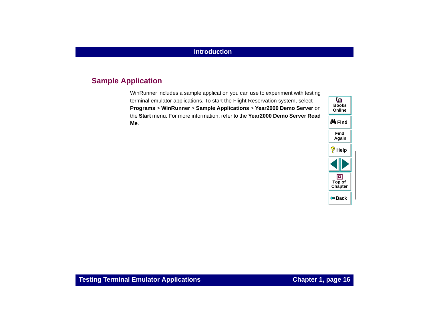# <span id="page-15-0"></span>**Sample Application**

WinRunner includes a sample application you can use to experiment with testing terminal emulator applications. To start the Flight Reservation system, select **Programs** > **WinRunner** <sup>&</sup>gt;**Sample Applications** <sup>&</sup>gt;**Year2000 Demo Server** on the **Start** menu. For more information, refer to the **Year2000 Demo Server Read Me**.

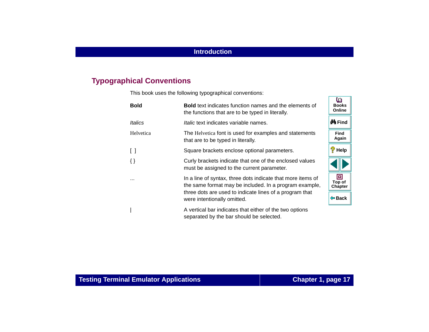# <span id="page-16-0"></span>**Typographical Conventions**

This book uses the following typographical conventions:

| <b>Bold</b>                     | <b>Bold</b> text indicates function names and the elements of<br>the functions that are to be typed in literally.     | <b>Security</b><br><b>Books</b><br>Online |
|---------------------------------|-----------------------------------------------------------------------------------------------------------------------|-------------------------------------------|
| Italics                         | <i>Italic</i> text indicates variable names.                                                                          | <b>@A</b> iFind                           |
| Helvetica                       | The Helvetica font is used for examples and statements<br>that are to be typed in literally.                          | <b>Find</b><br>Again                      |
| $\begin{bmatrix} \end{bmatrix}$ | Square brackets enclose optional parameters.                                                                          | ?<br>Help                                 |
| $\{\}$                          | Curly brackets indicate that one of the enclosed values<br>must be assigned to the current parameter.                 |                                           |
| $\cdots$                        | In a line of syntax, three dots indicate that more items of<br>the same format may be included. In a program example, | o<br>Top of<br><b>Chapter</b>             |
|                                 | three dots are used to indicate lines of a program that<br>were intentionally omitted.                                | ⊕ Back                                    |
|                                 | A vertical bar indicates that either of the two options<br>separated by the bar should be selected.                   |                                           |

 $\overline{m}$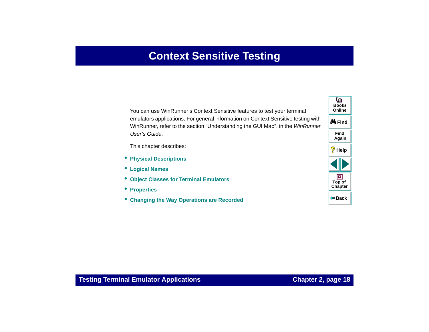# **Context Sensitive Testing**

<span id="page-17-1"></span><span id="page-17-0"></span>You can use WinRunner's Context Sensitive features to test your terminal emulators applications. For general information on Context Sensitive testing with WinRunner, refer to the section "Understanding the GUI Map", in the WinRunner User's Guide.

This chapter describes:

- **[Physical Descriptions](#page-21-0)**
- **[Logical Names](#page-22-0)**
- $\bullet$ **[Object Classes for Terminal Emulators](#page-22-1)**
- **[Properties](#page-24-0)**
- •**[Changing the Way Operations are Recorded](#page-26-0)**



### **Testing Terminal Emulator Applications Chapter 2, page 18**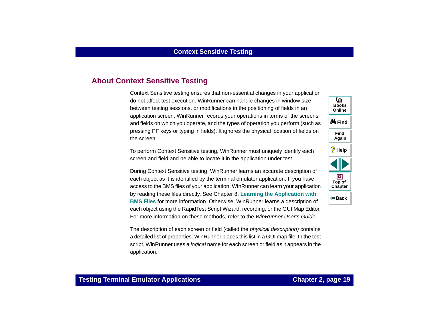# <span id="page-18-0"></span>**About Context Sensitive Testing**

Context Sensitive testing ensures that non-essential changes in your application do not affect test execution. WinRunner can handle changes in window size between testing sessions, or modifications in the positioning of fields in an application screen. WinRunner records your operations in terms of the screens and fields on which you operate, and the types of operation you perform (such as pressing PF keys or typing in fields). It ignores the physical location of fields on the screen.

To perform Context Sensitive testing, WinRunner must uniquely identify each screen and field and be able to locate it in the application under test.

During Context Sensitive testing, WinRunner learns an accurate description of each object as it is identified by the terminal emulator application. If you have access to the BMS files of your application, WinRunner can learn your application by reading these files directly. See Chapter 8, **[Learning the Application with](#page-80-1)  [BMS Files](#page-80-1)** for more information. Otherwise, WinRunner learns a description of each object using the RapidTest Script Wizard, recording, or the GUI Map Editor. For more information on these methods, refer to the WinRunner User's Guide.

The description of each screen or field (called the *physical description)* contains a detailed list of properties. WinRunner places this list in a GUI map file. In the test script, WinRunner uses a logical name for each screen or field as it appears in the application.

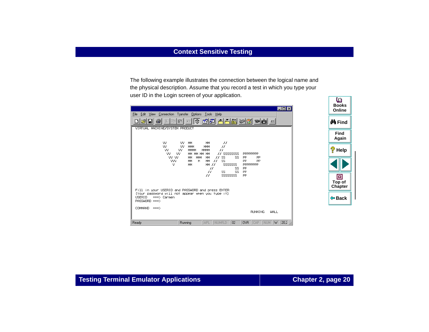The following example illustrates the connection between the logical name and the physical description. Assume that you record a test in which you type your user ID in the Login screen of your application.

| $\Box$ o $\Box$<br>Edit View Connection Transfer Options Tools Help<br>File                                                                                                                                            | <b>Books</b><br>Online |
|------------------------------------------------------------------------------------------------------------------------------------------------------------------------------------------------------------------------|------------------------|
| VIRTUAL MACHINE/SYSTEM PRODUCT                                                                                                                                                                                         | <b>∯</b> n Find        |
| VV.<br>VV.<br>MМ                                                                                                                                                                                                       | <b>Find</b><br>Again   |
| MM<br>$^{\prime\prime}$<br>VV.<br>VV.<br><b>MMM</b><br>$\overline{H}$<br>MMM<br>MMMM<br>$_{II}$<br>VV.<br>w<br>MMM<br>w<br>VV.<br>// SSSSSSSSS<br>MM MM MM MM<br>PPPPPPPP<br>$II$ SS                                   | P<br>Help              |
| vv vv<br><b>PP</b><br>MMM<br>MM<br>SS.<br><b>PP</b><br>MМ<br>VVV.<br>PP<br><b>PP</b><br>м<br><b>MM</b><br>H<br><b>SS</b><br>MM<br>v<br>SSSSSSSS<br>PPPPPPPP<br>MМ<br>MM 77<br><b>PP</b><br>II<br>SS<br>SS.<br>SS<br>PP |                        |
| $\overline{H}$<br>SSSSSSSSS<br>PP<br>$^{\prime\prime}$                                                                                                                                                                 | ▣<br>Top of<br>Chapter |
| Fill in your USERID and PASSWORD and press ENTER<br>(Your password will not appear when you type it)<br><b>USERID</b><br>$\Rightarrow$ Carmen<br>PASSWORD ===>                                                         | <b>← Back</b>          |
| COMMAND ===><br><b>RUNNING</b><br><b>WALL</b>                                                                                                                                                                          |                        |
| APL NUMFLD<br> 02 <br>OVR CAP NUM W 202<br>Ready<br>Running                                                                                                                                                            |                        |

O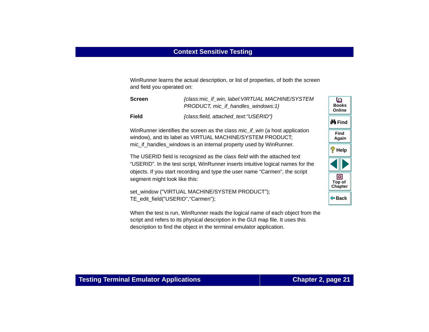WinRunner learns the actual description, or list of properties, of both the screen and field you operated on:

| <b>Screen</b> | {class:mic_if_win, label: VIRTUAL MACHINE/SYSTEM<br>PRODUCT, mic if handles windows:1} |
|---------------|----------------------------------------------------------------------------------------|
| <b>Field</b>  | {class:field, attached_text:"USERID"}                                                  |

WinRunner identifies the screen as the class *mic* if win (a host application window), and its label as VIRTUAL MACHINE/SYSTEM PRODUCT; mic if handles windows is an internal property used by WinRunner.

The USERID field is recognized as the class field with the attached text "USERID". In the test script, WinRunner inserts intuitive logical names for the objects. If you start recording and type the user name "Carmen", the script segment might look like this:

```
set_window ("VIRTUAL MACHINE/SYSTEM PRODUCT");
TE_edit_field("USERID","Carmen");
```
When the test is run, WinRunner reads the logical name of each object from the script and refers to its physical description in the GUI map file. It uses this description to find the object in the terminal emulator application.

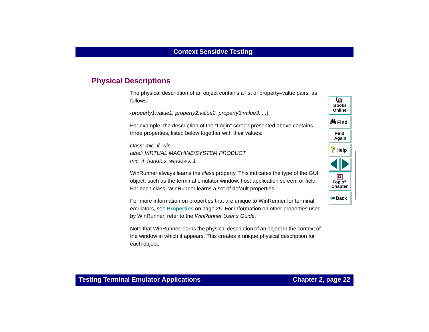# <span id="page-21-0"></span>**Physical Descriptions**

The physical description of an object contains a list of property–value pairs, as follows:

```
{property1:value1, property2:value2, property3:value3, ...}
```
For example, the description of the "Login" screen presented above contains three properties, listed below together with their values:

class: mic\_if\_win label: VIRTUAL MACHINE/SYSTEM PRODUCTmic if handles windows: 1

WinRunner always learns the class property. This indicates the type of the GUI object, such as the terminal emulator window, host application screen, or field. For each class, WinRunner learns a set of default properties.

For more information on properties that are unique to WinRunner for terminal emulators, see **[Properties](#page-24-0)** on page 25. For information on other properties used by WinRunner, refer to the WinRunner User's Guide.

Note that WinRunner learns the physical description of an object in the context of the window in which it appears. This creates a unique physical description for each object.



### **Testing Terminal Emulator Applications Chapter 2, page 22**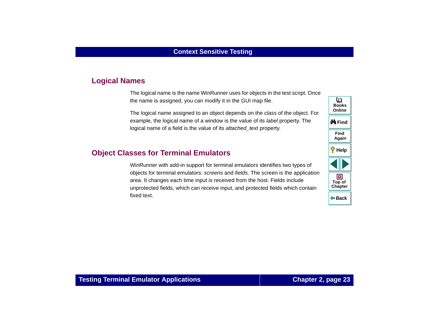### <span id="page-22-0"></span>**Logical Names**

The logical name is the name WinRunner uses for objects in the test script. Once the name is assigned, you can modify it in the GUI map file.

The logical name assigned to an object depends on the class of the object. For example, the logical name of a window is the value of its label property. The logical name of a field is the value of its attached text property.

## <span id="page-22-1"></span>**Object Classes for Terminal Emulators**

WinRunner with add-in support for terminal emulators identifies two types of objects for terminal emulators: screens and fields. The screen is the application area. It changes each time input is received from the host. Fields include unprotected fields, which can receive input, and protected fields which contain fixed text.

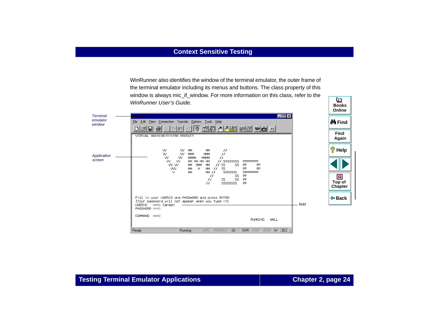WinRunner also identifies the window of the terminal emulator, the outer frame of the terminal emulator including its menus and buttons. The class property of this window is always mic\_if\_window. For more information on this class, refer to the WinRunner User's Guide.



o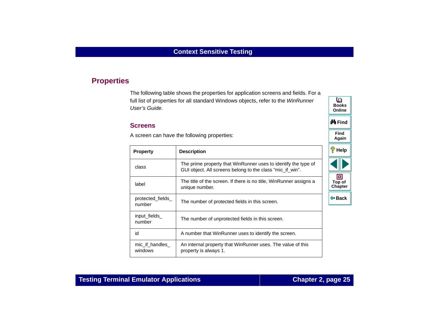# <span id="page-24-0"></span>**Properties**

The following table shows the properties for application screens and fields. For a full list of properties for all standard Windows objects, refer to the WinRunner User's Guide.

#### **Screens**

A screen can have the following properties:

| <b>Property</b>            | <b>Description</b>                                                                                                          | ಳಿ<br>Help             |
|----------------------------|-----------------------------------------------------------------------------------------------------------------------------|------------------------|
| class                      | The prime property that WinRunner uses to identify the type of<br>GUI object. All screens belong to the class "mic_if_win". |                        |
| label                      | The title of the screen. If there is no title, WinRunner assigns a<br>unique number.                                        | o<br>Top of<br>Chapter |
| protected fields<br>number | The number of protected fields in this screen.                                                                              | ⊕ Back                 |
| input_fields<br>number     | The number of unprotected fields in this screen.                                                                            |                        |
| id                         | A number that WinRunner uses to identify the screen.                                                                        |                        |
| mic if handles<br>windows  | An internal property that WinRunner uses. The value of this<br>property is always 1.                                        |                        |

**Find**

**Again**

**M**Find

**BooksOnline**

o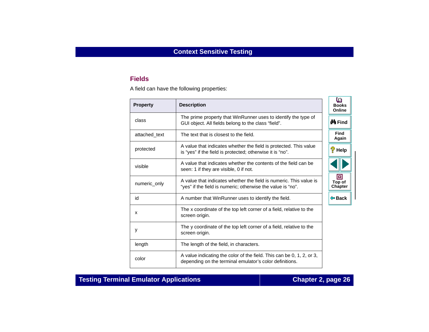### **Fields**

A field can have the following properties:

| <b>Property</b> | <b>Description</b>                                                                                                                | ७<br><b>Books</b><br>Online |
|-----------------|-----------------------------------------------------------------------------------------------------------------------------------|-----------------------------|
| class           | The prime property that WinRunner uses to identify the type of<br>GUI object. All fields belong to the class "field".             | <b>@A</b> Find              |
| attached_text   | The text that is closest to the field.                                                                                            | Find<br>Again               |
| protected       | A value that indicates whether the field is protected. This value<br>is "yes" if the field is protected; otherwise it is "no".    | $\sqrt[2]{\mathsf{H}}$ elp  |
| visible         | A value that indicates whether the contents of the field can be<br>seen: 1 if they are visible, 0 if not.                         |                             |
| numeric_only    | A value that indicates whether the field is numeric. This value is<br>"yes" if the field is numeric; otherwise the value is "no". | 回<br>Top of<br>Chapter      |
| id              | A number that WinRunner uses to identify the field.                                                                               | ⊕ Back                      |
| X               | The x coordinate of the top left corner of a field, relative to the<br>screen origin.                                             |                             |
| y               | The y coordinate of the top left corner of a field, relative to the<br>screen origin.                                             |                             |
| length          | The length of the field, in characters.                                                                                           |                             |
| color           | A value indicating the color of the field. This can be 0, 1, 2, or 3,<br>depending on the terminal emulator's color definitions.  |                             |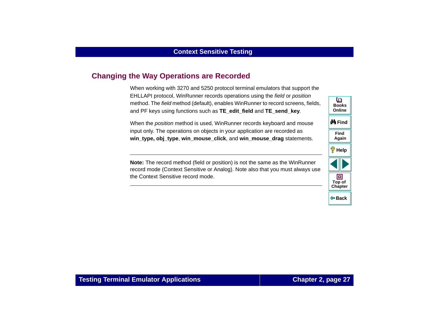# <span id="page-26-0"></span>**Changing the Way Operations are Recorded**

When working with 3270 and 5250 protocol terminal emulators that support the EHLLAPI protocol, WinRunner records operations using the field or position method. The field method (default), enables WinRunner to record screens, fields, and PF keys using functions such as **TE\_edit\_field** and **TE\_send\_key**.

When the position method is used, WinRunner records keyboard and mouse input only. The operations on objects in your application are recorded as **win\_type, obj\_type**, **win\_mouse\_click**, and **win\_mouse\_drag** statements.

**Note:** The record method (field or position) is not the same as the WinRunner record mode (Context Sensitive or Analog). Note also that you must always use the Context Sensitive record mode.

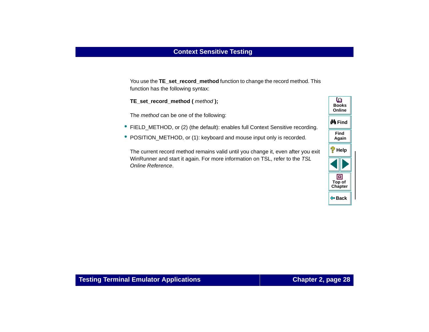You use the **TE\_set\_record\_method** function to change the record method. This function has the following syntax:

**TE\_set\_record\_method (** method **);**

The method can be one of the following:

- FIELD\_METHOD, or (2) (the default): enables full Context Sensitive recording.
- POSITION\_METHOD, or (1): keyboard and mouse input only is recorded.

The current record method remains valid until you change it, even after you exit WinRunner and start it again. For more information on TSL, refer to the TSL Online Reference.

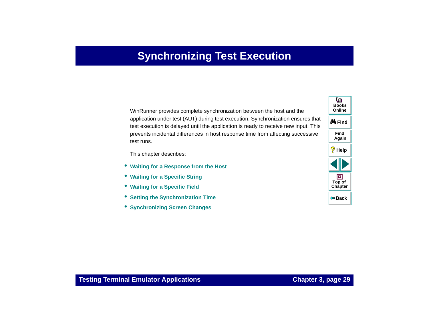# **Synchronizing Test Execution**

<span id="page-28-2"></span><span id="page-28-1"></span><span id="page-28-0"></span>WinRunner provides complete synchronization between the host and the application under test (AUT) during test execution. Synchronization ensures that test execution is delayed until the application is ready to receive new input. This prevents incidental differences in host response time from affecting successive test runs.

This chapter describes:

- **[Waiting for a Response from the Host](#page-29-1)**
- •**[Waiting for a Specific String](#page-30-0)**
- •**[Waiting for a Specific Field](#page-32-0)**
- •**[Setting the Synchronization Time](#page-33-0)**
- **[Synchronizing Screen Changes](#page-36-0)**

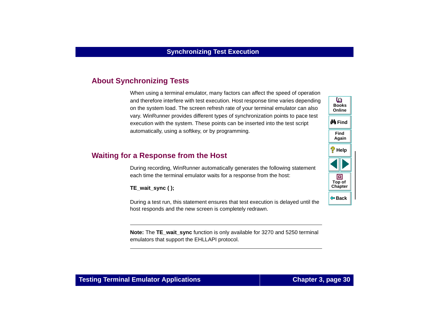# <span id="page-29-0"></span>**About Synchronizing Tests**

When using a terminal emulator, many factors can affect the speed of operation and therefore interfere with test execution. Host response time varies depending on the system load. The screen refresh rate of your terminal emulator can also vary. WinRunner provides different types of synchronization points to pace test execution with the system. These points can be inserted into the test script automatically, using a softkey, or by programming.

# <span id="page-29-1"></span>**Waiting for a Response from the Host**

During recording, WinRunner automatically generates the following statement each time the terminal emulator waits for a response from the host:

**TE\_wait\_sync ( );**

During a test run, this statement ensures that test execution is delayed until the host responds and the new screen is completely redrawn.

**Note:** The TE\_wait\_sync function is only available for 3270 and 5250 terminal emulators that support the EHLLAPI protocol.

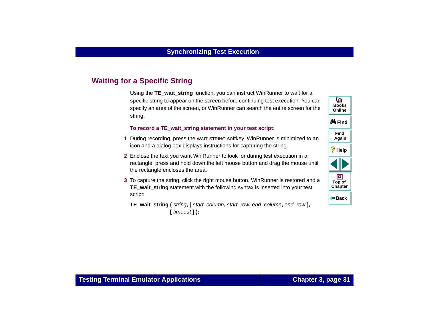# <span id="page-30-0"></span>**Waiting for a Specific String**

Using the **TE\_wait\_string** function, you can instruct WinRunner to wait for a specific string to appear on the screen before continuing test execution. You can specify an area of the screen, or WinRunner can search the entire screen for the string.

#### **To record a TE\_wait\_string statement in your test script:**

- **1** During recording, press the WAIT STRING softkey. WinRunner is minimized to an icon and a dialog box displays instructions for capturing the string.
- **2** Enclose the text you want WinRunner to look for during test execution in a rectangle: press and hold down the left mouse button and drag the mouse until the rectangle encloses the area.
- **3** To capture the string, click the right mouse button. WinRunner is restored and a **TE\_wait\_string** statement with the following syntax is inserted into your test script:
	- **TE\_wait\_string (** string**, [** start\_column**,** start\_row**,** end\_column**,** end\_row **], [** timeout **] );**

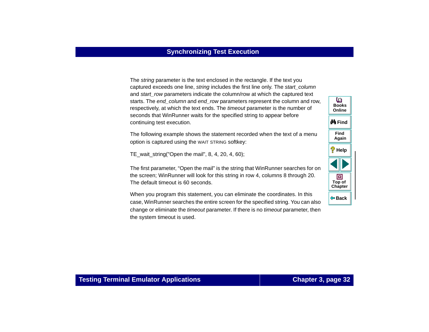The string parameter is the text enclosed in the rectangle. If the text you captured exceeds one line, string includes the first line only. The start column and start row parameters indicate the column/row at which the captured text starts. The end\_column and end\_row parameters represent the column and row, respectively, at which the text ends. The timeout parameter is the number of seconds that WinRunner waits for the specified string to appear before continuing test execution.

The following example shows the statement recorded when the text of a menu option is captured using the WAIT STRING softkey:

TE wait string("Open the mail",  $8, 4, 20, 4, 60$ );

The first parameter, "Open the mail" is the string that WinRunner searches for on the screen; WinRunner will look for this string in row 4, columns 8 through 20. The default timeout is 60 seconds.

When you program this statement, you can eliminate the coordinates. In this case, WinRunner searches the entire screen for the specified string. You can also change or eliminate the *timeout* parameter. If there is no *timeout* parameter, then the system timeout is used.

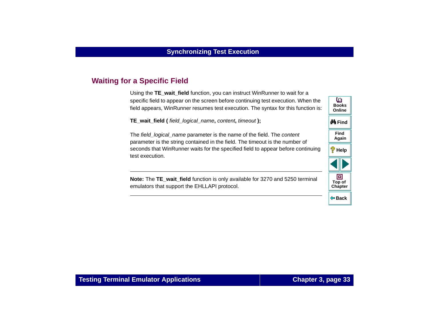# <span id="page-32-0"></span>**Waiting for a Specific Field**

Using the **TE\_wait\_field** function, you can instruct WinRunner to wait for a specific field to appear on the screen before continuing test execution. When the field appears, WinRunner resumes test execution. The syntax for this function is:

**TE\_wait\_field (** field\_logical\_name**,** content**,** timeout **);**

The field logical name parameter is the name of the field. The content parameter is the string contained in the field. The timeout is the number of seconds that WinRunner waits for the specified field to appear before continuing test execution.

**Note:** The **TE\_wait\_field** function is only available for 3270 and 5250 terminal emulators that support the EHLLAPI protocol.

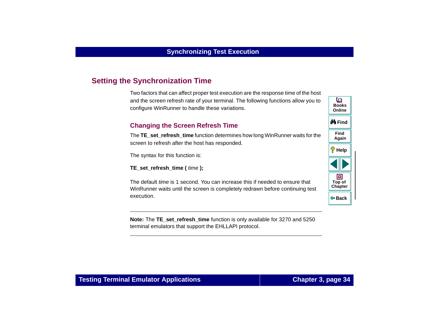# <span id="page-33-0"></span>**Setting the Synchronization Time**

Two factors that can affect proper test execution are the response time of the host and the screen refresh rate of your terminal. The following functions allow you to configure WinRunner to handle these variations.

### **Changing the Screen Refresh Time**

The **TE\_set\_refresh\_time** function determines how long WinRunner waits for the screen to refresh after the host has responded.

The syntax for this function is:

**TE\_set\_refresh\_time (** time **);**

The default time is 1 second. You can increase this if needed to ensure that WinRunner waits until the screen is completely redrawn before continuing test execution.

**Note:** The **TE\_set\_refresh\_time** function is only available for 3270 and 5250 terminal emulators that support the EHLLAPI protocol.

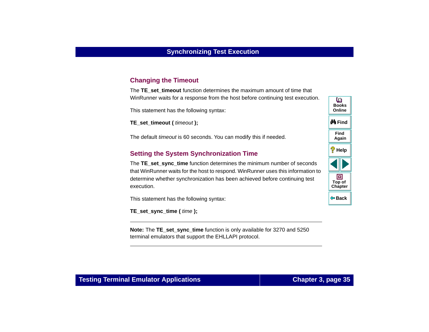### **Changing the Timeout**

The **TE** set timeout function determines the maximum amount of time that WinRunner waits for a response from the host before continuing test execution.

This statement has the following syntax:

**TE\_set\_timeout (** timeout **);**

The default *timeout* is 60 seconds. You can modify this if needed.

### **Setting the System Synchronization Time**

The **TE** set sync time function determines the minimum number of seconds that WinRunner waits for the host to respond. WinRunner uses this information to determine whether synchronization has been achieved before continuing test execution.

This statement has the following syntax:

**TE\_set\_sync\_time (** time **);**

**Note:** The **TE** set sync time function is only available for 3270 and 5250 terminal emulators that support the EHLLAPI protocol.

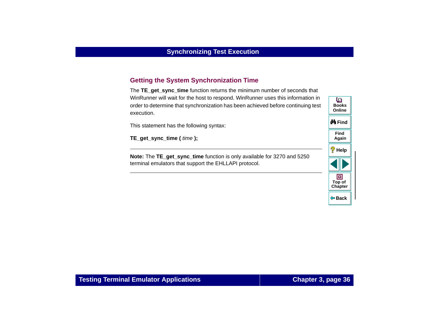### **Getting the System Synchronization Time**

The **TE** get sync time function returns the minimum number of seconds that WinRunner will wait for the host to respond. WinRunner uses this information in order to determine that synchronization has been achieved before continuing test execution.

This statement has the following syntax:

**TE\_get\_sync\_time (** time **);**

**Note:** The **TE\_get\_sync\_time** function is only available for 3270 and 5250 terminal emulators that support the EHLLAPI protocol.

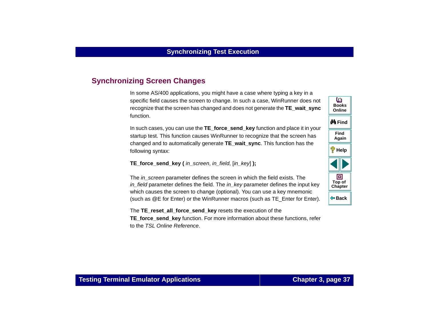# **Synchronizing Screen Changes**

In some AS/400 applications, you might have a case where typing a key in a specific field causes the screen to change. In such a case, WinRunner does not recognize that the screen has changed and does not generate the **TE\_wait\_sync** function.

In such cases, you can use the **TE\_force\_send\_key** function and place it in your startup test. This function causes WinRunner to recognize that the screen has changed and to automatically generate **TE\_wait\_sync**. This function has the following syntax:

**TE** force send key ( in screen, in field,  $\lceil$ in key] **)**;

The in\_screen parameter defines the screen in which the field exists. The in field parameter defines the field. The in key parameter defines the input key which causes the screen to change (optional). You can use a key mnemonic (such as @E for Enter) or the WinRunner macros (such as TE\_Enter for Enter).

The **TE\_reset\_all\_force\_send\_key** resets the execution of the **TE\_force\_send\_key** function. For more information about these functions, refer to the TSL Online Reference.

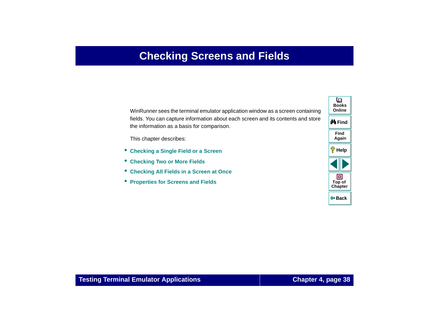# **Checking Screens and Fields**

<span id="page-37-0"></span>WinRunner sees the terminal emulator application window as a screen containing fields. You can capture information about each screen and its contents and store the information as a basis for comparison.

This chapter describes:

- **[Checking a Single Field or a Screen](#page-39-0)**
- **[Checking Two or More Fields](#page-40-0)**
- •**[Checking All Fields in a Screen at Once](#page-42-0)**
- **[Properties for Screens and Fields](#page-43-0)**

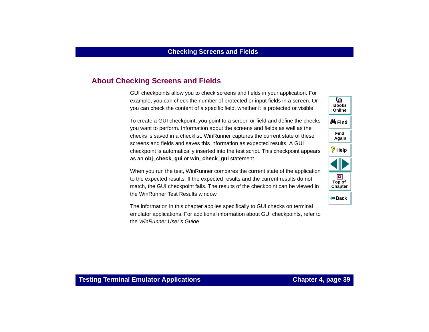# **About Checking Screens and Fields**

GUI checkpoints allow you to check screens and fields in your application. For example, you can check the number of protected or input fields in a screen. Or you can check the content of a specific field, whether it is protected or visible.

To create a GUI checkpoint, you point to a screen or field and define the checks you want to perform. Information about the screens and fields as well as the checks is saved in a checklist. WinRunner captures the current state of these screens and fields and saves this information as expected results. A GUI checkpoint is automatically inserted into the test script. This checkpoint appears as an **obj\_check\_gui** or **win\_check\_gui** statement.

When you run the test, WinRunner compares the current state of the application to the expected results. If the expected results and the current results do not match, the GUI checkpoint fails. The results of the checkpoint can be viewed in the WinRunner Test Results window.

The information in this chapter applies specifically to GUI checks on terminal emulator applications. For additional information about GUI checkpoints, refer to the WinRunner User's Guide.

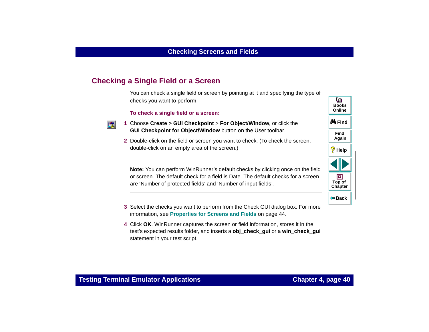# <span id="page-39-0"></span>**Checking a Single Field or a Screen**

You can check a single field or screen by pointing at it and specifying the type of checks you want to perform.

#### **To check a single field or a screen:**



- **1** Choose **Create > GUI Checkpoint** > **For Object/Window**, or click the **GUI Checkpoint for Object/Window** button on the User toolbar.
- **2** Double-click on the field or screen you want to check. (To check the screen, double-click on an empty area of the screen.)

**Note:** You can perform WinRunner's default checks by clicking once on the field or screen. The default check for a field is Date. The default checks for a screen are 'Number of protected fields' and 'Number of input fields'.

- **3** Select the checks you want to perform from the Check GUI dialog box. For more information, see **[Properties for Screens and Fields](#page-43-0)** on page 44.
- **4** Click **OK**. WinRunner captures the screen or field information, stores it in the test's expected results folder, and inserts a **obj\_check\_gui** or a **win\_check\_gui** statement in your test script.

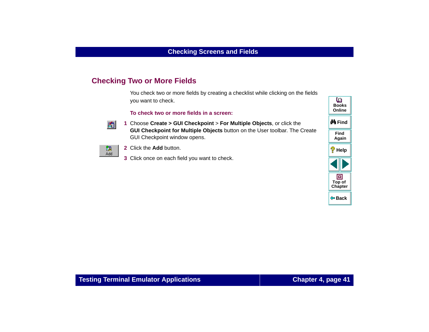# <span id="page-40-0"></span>**Checking Two or More Fields**

You check two or more fields by creating a checklist while clicking on the fields you want to check.

**To check two or more fields in a screen:**



 **1** Choose **Create > GUI Checkpoint** > **For Multiple Objects**, or click the **GUI Checkpoint for Multiple Objects** button on the User toolbar. The Create GUI Checkpoint window opens.



- **2** Click the **Add** button.
- **3** Click once on each field you want to check.

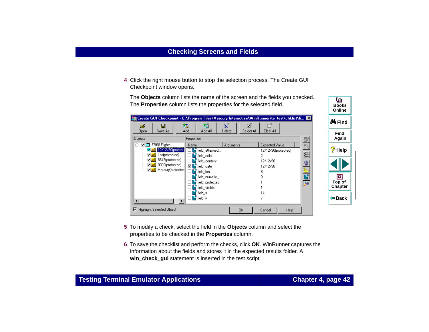**4** Click the right mouse button to stop the selection process. The Create GUI Checkpoint window opens.

The **Objects** column lists the name of the screen and the fields you checked. The **Properties** column lists the properties for the selected field.

| Create GUI Checkpoint - E:\Program Files\Mercury Interactive\WinRunner\te_test\chklist\li <b>E</b>                                     |                                            | ∯n Find                                |
|----------------------------------------------------------------------------------------------------------------------------------------|--------------------------------------------|----------------------------------------|
| 賓<br>œ<br>飖<br>П<br>Add<br>Add All<br>Save As<br>Delete<br>Open<br><b>Objects</b><br>Properties                                        | ⊡<br>Select All<br>Clear All               | Find<br>Again<br>$\mathbf{E}^{\prime}$ |
| □ ■ ■ FR68 Flights<br>Name<br><b>Arguments</b><br>36 12/12/90 protecte<br>field attached<br><b>Z</b> abl Los(protected)<br>field color | Expected Value<br>12/12/90(protected)<br>2 | đ,<br>?<br>Help<br>뙤                   |
| 8649(protected)<br>∨ abĭ<br>field_content<br>$\Box$ abi 0000(protected)<br>⊡।<br>field date<br>bold Mercury (protected                 | 12/12/90<br>12/12/90                       | ■出土口                                   |
| field_len<br>field numeric<br>field protected                                                                                          | 8                                          | ▣<br>扈<br>Top of                       |
| field visible<br>field x                                                                                                               | 14                                         | Chapter<br>$\Leftrightarrow$ Back      |
| $\blacksquare$ field y<br>Đ<br>$\blacksquare$<br>Highlight Selected Object<br>⊽                                                        | 0K<br>Help<br>Cancel                       |                                        |
|                                                                                                                                        |                                            |                                        |

- **5** To modify a check, select the field in the **Objects** column and select the properties to be checked in the **Properties** column.
- **6** To save the checklist and perform the checks, click **OK**. WinRunner captures the information about the fields and stores it in the expected results folder. A **win\_check\_gui** statement is inserted in the test script.

**BooksOnline**

o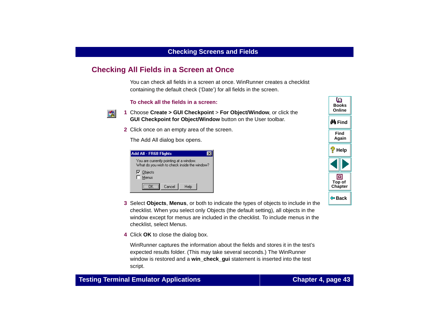# <span id="page-42-0"></span>**Checking All Fields in a Screen at Once**

You can check all fields in a screen at once. WinRunner creates a checklist containing the default check ('Date') for all fields in the screen.

#### **To check all the fields in a screen:**



- **1** Choose **Create > GUI Checkpoint** > **For Object/Window**, or click the **GUI Checkpoint for Object/Window** button on the User toolbar.
- **2** Click once on an empty area of the screen.

The Add All dialog box opens.

| Add All - FR68 Flights                                                                  |  |  |
|-----------------------------------------------------------------------------------------|--|--|
| You are currently pointing at a window.<br>What do you wish to check inside the window? |  |  |
| $\nabla$ Objects<br>Menus                                                               |  |  |
| Cancel<br>Help<br>nĸ                                                                    |  |  |

- **3** Select **Objects**, **Menus**, or both to indicate the types of objects to include in the checklist. When you select only Objects (the default setting), all objects in the window except for menus are included in the checklist. To include menus in the checklist, select Menus.
- **4** Click **OK** to close the dialog box.

WinRunner captures the information about the fields and stores it in the test's expected results folder. (This may take several seconds.) The WinRunner window is restored and a **win\_check\_gui** statement is inserted into the test script.

**Back**

**[Chapter](#page-37-0) Top of**

同

**Find**

**Again**

**Help**

**do Find** 

**BooksOnline**

o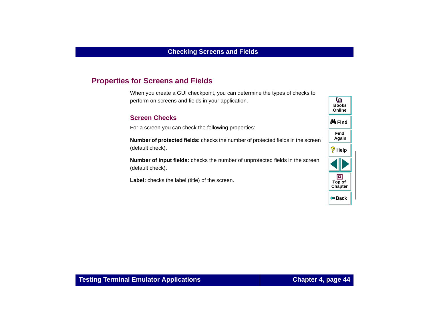# <span id="page-43-0"></span>**Properties for Screens and Fields**

When you create a GUI checkpoint, you can determine the types of checks to perform on screens and fields in your application.

#### **Screen Checks**

For a screen you can check the following properties:

**Number of protected fields:** checks the number of protected fields in the screen (default check).

**Number of input fields:** checks the number of unprotected fields in the screen (default check).

Label: checks the label (title) of the screen.

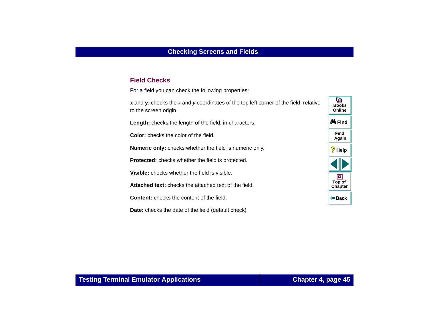#### **Field Checks**

For a field you can check the following properties:

**x** and **y**: checks the x and y coordinates of the top left corner of the field, relative to the screen origin.

**Length:** checks the length of the field, in characters.

**Color:** checks the color of the field.

**Numeric only:** checks whether the field is numeric only.

**Protected:** checks whether the field is protected.

**Visible:** checks whether the field is visible.

**Attached text:** checks the attached text of the field.

**Content:** checks the content of the field.

**Date:** checks the date of the field (default check)

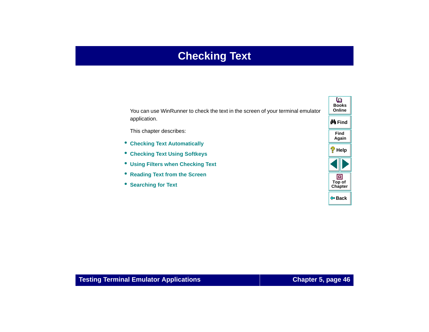# **Checking Text**

<span id="page-45-1"></span><span id="page-45-0"></span>You can use WinRunner to check the text in the screen of your terminal emulator application.

This chapter describes:

- **[Checking Text Automatically](#page-47-0)**
- $\bullet$ **[Checking Text Using Softkeys](#page-51-0)**
- **[Using Filters when Checking Text](#page-53-0)**
- **[Reading Text from the Screen](#page-58-0)**
- **[Searching for Text](#page-59-0)**

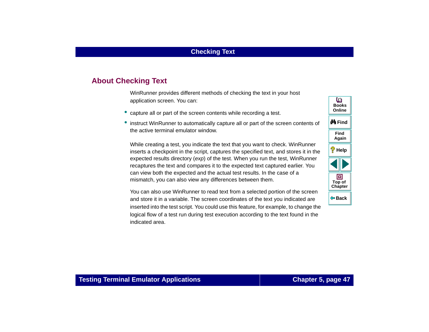# **About Checking Text**

WinRunner provides different methods of checking the text in your host application screen. You can:

- capture all or part of the screen contents while recording a test.
- instruct WinRunner to automatically capture all or part of the screen contents of the active terminal emulator window.

While creating a test, you indicate the text that you want to check. WinRunner inserts a checkpoint in the script, captures the specified text, and stores it in the expected results directory (exp) of the test. When you run the test, WinRunner recaptures the text and compares it to the expected text captured earlier. You can view both the expected and the actual test results. In the case of a mismatch, you can also view any differences between them.

You can also use WinRunner to read text from a selected portion of the screen and store it in a variable. The screen coordinates of the text you indicated are inserted into the test script. You could use this feature, for example, to change the logical flow of a test run during test execution according to the text found in the indicated area.

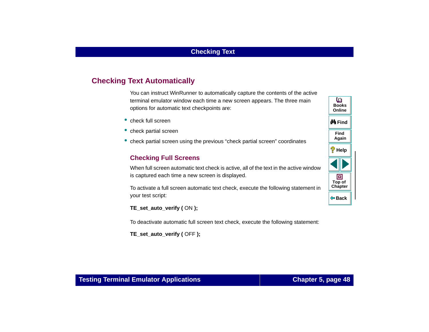# <span id="page-47-0"></span>**Checking Text Automatically**

You can instruct WinRunner to automatically capture the contents of the active terminal emulator window each time a new screen appears. The three main options for automatic text checkpoints are:

- check full screen
- check partial screen
- check partial screen using the previous "check partial screen" coordinates

#### **Checking Full Screens**

When full screen automatic text check is active, all of the text in the active window is captured each time a new screen is displayed.

To activate a full screen automatic text check, execute the following statement in your test script:

**TE\_set\_auto\_verify (** ON **);**

To deactivate automatic full screen text check, execute the following statement:

**TE\_set\_auto\_verify (** OFF **);**

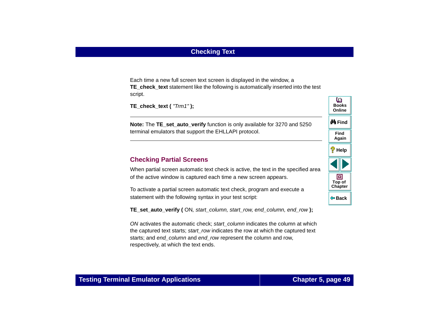Each time a new full screen text screen is displayed in the window, a **TE\_check\_text** statement like the following is automatically inserted into the test script.

```
TE_check_text ( "Trm1" );
```
**Note:** The TE set auto verify function is only available for 3270 and 5250 terminal emulators that support the EHLLAPI protocol.

#### **Checking Partial Screens**

When partial screen automatic text check is active, the text in the specified area of the active window is captured each time a new screen appears.

To activate a partial screen automatic text check, program and execute a statement with the following syntax in your test script:

**TE\_set\_auto\_verify (** ON, start\_column, start\_row, end\_column, end\_row **);**

ON activates the automatic check; start\_column indicates the column at which the captured text starts; start\_row indicates the row at which the captured text starts; and end column and end row represent the column and row, respectively, at which the text ends.



**Back**

**[Chapter](#page-45-0) Top of**

回

**Find**

**Again**

**Help**

**M** Find

**BooksOnline**

o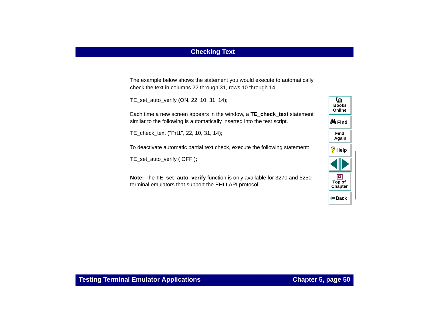# **Checking Text**

The example below shows the statement you would execute to automatically check the text in columns 22 through 31, rows 10 through 14.

TE\_set\_auto\_verify (ON, 22, 10, 31, 14);

Each time a new screen appears in the window, a **TE\_check\_text** statement similar to the following is automatically inserted into the test script.

TE\_check\_text ("Prt1", 22, 10, 31, 14);

To deactivate automatic partial text check, execute the following statement:

TE\_set\_auto\_verify ( OFF );

**Note:** The **TE\_set\_auto\_verify** function is only available for 3270 and 5250 terminal emulators that support the EHLLAPI protocol.

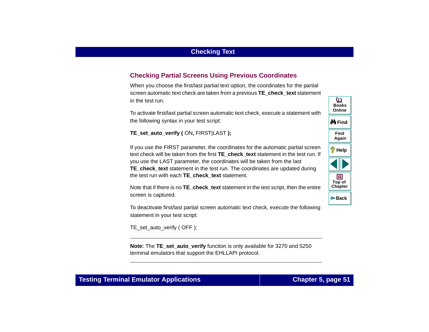# **Checking Partial Screens Using Previous Coordinates**

When you choose the first/last partial text option, the coordinates for the partial screen automatic text check are taken from a previous **TE\_check\_text** statement in the test run.

To activate first/last partial screen automatic text check, execute a statement with the following syntax in your test script:

**TE\_set\_auto\_verify (** ON**,** FIRST|LAST **);**

If you use the FIRST parameter, the coordinates for the automatic partial screen text check will be taken from the first **TE\_check\_text** statement in the test run. If you use the LAST parameter, the coordinates will be taken from the last **TE\_check\_text** statement in the test run. The coordinates are updated during the test run with each **TE\_check\_text** statement.

Note that if there is no **TE\_check\_text** statement in the test script, then the entire screen is captured.

To deactivate first/last partial screen automatic text check, execute the following statement in your test script:

TE\_set\_auto\_verify ( OFF );

**Note:** The **TE** set auto verify function is only available for 3270 and 5250 terminal emulators that support the EHLLAPI protocol.

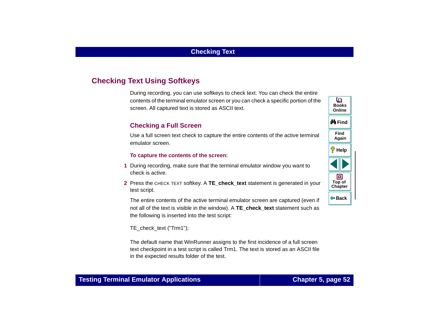# <span id="page-51-1"></span><span id="page-51-0"></span>**Checking Text Using Softkeys**

During recording, you can use softkeys to check text. You can check the entire contents of the terminal emulator screen or you can check a specific portion of the screen. All captured text is stored as ASCII text.

#### **Checking a Full Screen**

Use a full screen text check to capture the entire contents of the active terminal emulator screen.

#### **To capture the contents of the screen:**

- **1** During recording, make sure that the terminal emulator window you want to check is active.
- **2** Press the CHECK TEXT softkey. A **TE\_check\_text** statement is generated in your test script.

The entire contents of the active terminal emulator screen are captured (even if not all of the text is visible in the window). A **TE\_check\_text** statement such as the following is inserted into the test script:

TE\_check\_text ("Trm1");

The default name that WinRunner assigns to the first incidence of a full screen text checkpoint in a test script is called Trm1. The text is stored as an ASCII file in the expected results folder of the test.

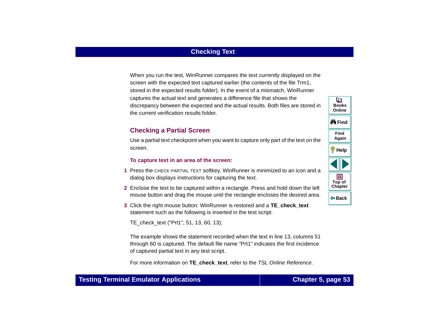# **Checking Text**

When you run the test, WinRunner compares the text currently displayed on the screen with the expected text captured earlier (the contents of the file Trm1, stored in the expected results folder). In the event of a mismatch, WinRunner captures the actual text and generates a difference file that shows the discrepancy between the expected and the actual results. Both files are stored in the current verification results folder.

#### **Checking a Partial Screen**

Use a partial text checkpoint when you want to capture only part of the text on the screen.

#### **To capture text in an area of the screen:**

- **1** Press the CHECK PARTIAL TEXT softkey. WinRunner is minimized to an icon and a dialog box displays instructions for capturing the text.
- **2** Enclose the text to be captured within a rectangle. Press and hold down the left mouse button and drag the mouse until the rectangle encloses the desired area.
- **3** Click the right mouse button: WinRunner is restored and a **TE\_check\_text** statement such as the following is inserted in the test script:

TE\_check\_text ("Prt1", 51, 13, 60, 13);

The example shows the statement recorded when the text in line 13, columns 51 through 60 is captured. The default file name "Prt1" indicates the first incidence of captured partial text in any test script.

For more information on **TE** check text, refer to the TSL Online Reference.

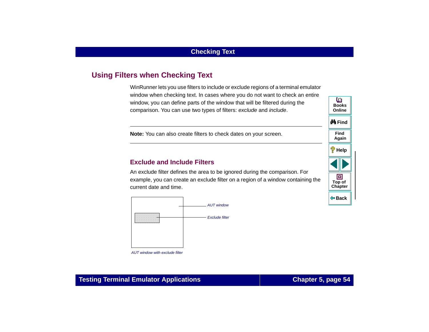# <span id="page-53-1"></span><span id="page-53-0"></span>**Using Filters when Checking Text**

WinRunner lets you use filters to include or exclude regions of a terminal emulator window when checking text. In cases where you do not want to check an entire window, you can define parts of the window that will be filtered during the comparison. You can use two types of filters: exclude and include.

**Note:** You can also create filters to check dates on your screen.

#### **Exclude and Include Filters**

An exclude filter defines the area to be ignored during the comparison. For example, you can create an exclude filter on a region of a window containing the current date and time.





AUT window with exclude filter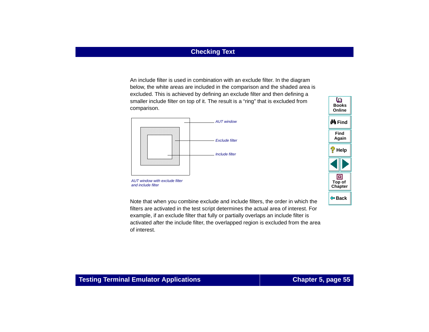An include filter is used in combination with an exclude filter. In the diagram below, the white areas are included in the comparison and the shaded area is excluded. This is achieved by defining an exclude filter and then defining a smaller include filter on top of it. The result is a "ring" that is excluded from comparison.



AUT window with exclude filter and include filter

Note that when you combine exclude and include filters, the order in which the filters are activated in the test script determines the actual area of interest. For example, if an exclude filter that fully or partially overlaps an include filter is activated after the include filter, the overlapped region is excluded from the area of interest.

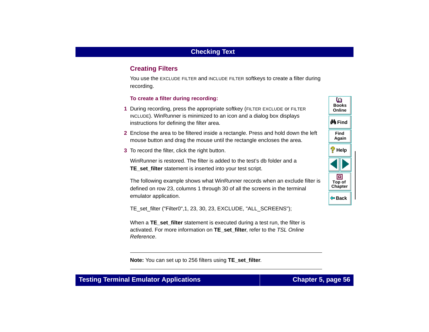# **Creating Filters**

You use the EXCLUDE FILTER and INCLUDE FILTER softkeys to create a filter during recording.

#### **To create a filter during recording:**

- **1** During recording, press the appropriate softkey (FILTER EXCLUDE or FILTER INCLUDE). WinRunner is minimized to an icon and a dialog box displays instructions for defining the filter area.
- **2** Enclose the area to be filtered inside a rectangle. Press and hold down the left mouse button and drag the mouse until the rectangle encloses the area.
- **3** To record the filter, click the right button.

WinRunner is restored. The filter is added to the test's db folder and a **TE\_set\_filter** statement is inserted into your test script.

The following example shows what WinRunner records when an exclude filter is defined on row 23, columns 1 through 30 of all the screens in the terminal emulator application.

TE\_set\_filter ("Filter0", 1, 23, 30, 23, EXCLUDE, "ALL\_SCREENS");

When a **TE\_set\_filter** statement is executed during a test run, the filter is activated. For more information on **TE\_set\_filter**, refer to the TSL Online Reference.

o **BooksOnlineM**iFind **FindAgain Help** 回 **Top of [Chapter](#page-45-0) Back**

**Note:** You can set up to 256 filters using **TE\_set\_filter**.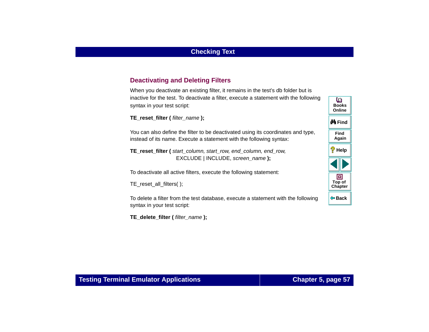### **Deactivating and Deleting Filters**

When you deactivate an existing filter, it remains in the test's db folder but is inactive for the test. To deactivate a filter, execute a statement with the following syntax in your test script:

**TE\_reset\_filter (** filter\_name );

You can also define the filter to be deactivated using its coordinates and type, instead of its name. Execute a statement with the following syntax:

**TE\_reset\_filter (** start\_column, start\_row, end\_column, end\_row, EXCLUDE | INCLUDE, screen\_name **);**

To deactivate all active filters, execute the following statement:

TE\_reset\_all\_filters( );

To delete a filter from the test database, execute a statement with the following syntax in your test script:

**TE\_delete\_filter (** filter\_name **);**

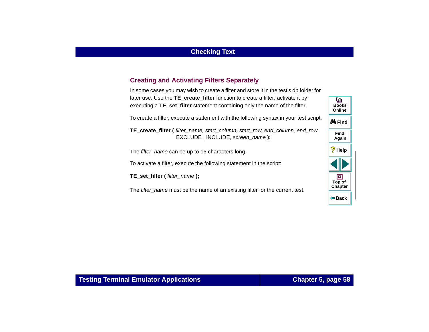### **Creating and Activating Filters Separately**

In some cases you may wish to create a filter and store it in the test's db folder for later use. Use the **TE\_create\_filter** function to create a filter; activate it by executing a **TE** set filter statement containing only the name of the filter.

To create a filter, execute a statement with the following syntax in your test script:

**TE\_create\_filter (** filter\_name, start\_column, start\_row, end\_column, end\_row, EXCLUDE | INCLUDE, screen\_name **);**

The filter\_name can be up to 16 characters long.

To activate a filter, execute the following statement in the script:

**TE\_set\_filter (** filter\_name **);**

The filter name must be the name of an existing filter for the current test.

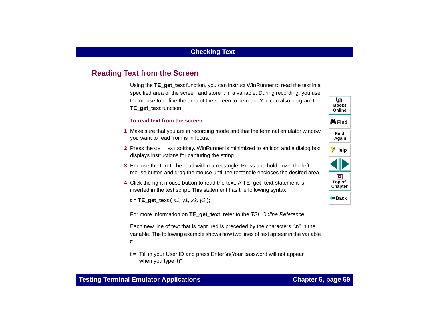# <span id="page-58-1"></span><span id="page-58-0"></span>**Reading Text from the Screen**

Using the **TE\_get\_text** function, you can instruct WinRunner to read the text in a specified area of the screen and store it in a variable. During recording, you use the mouse to define the area of the screen to be read. You can also program the **TE\_get\_text** function.

#### **To read text from the screen:**

- **1** Make sure that you are in recording mode and that the terminal emulator window you want to read from is in focus.
- **2** Press the GET TEXT softkey. WinRunner is minimized to an icon and a dialog box displays instructions for capturing the string.
- **3** Enclose the text to be read within a rectangle. Press and hold down the left mouse button and drag the mouse until the rectangle encloses the desired area.
- **4** Click the right mouse button to read the text. A **TE\_get\_text** statement is inserted in the test script. This statement has the following syntax:

**t = TE\_get\_text (** x1, y1, x2, y2 **);**

For more information on **TE\_get\_text**, refer to the TSL Online Reference.

Each new line of text that is captured is preceded by the characters "\n" in the variable. The following example shows how two lines of text appear in the variable t:

t = "Fill in your User ID and press Enter \n(Your password will not appear when you type it)"

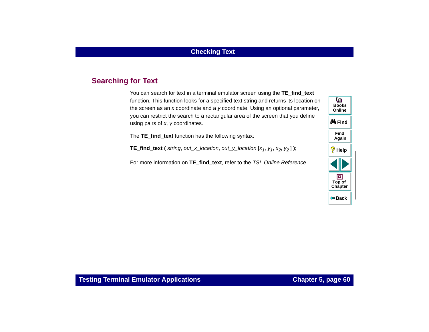# <span id="page-59-0"></span>**Searching for Text**

You can search for text in a terminal emulator screen using the **TE\_find\_text** function. This function looks for a specified text string and returns its location on the screen as an x coordinate and a y coordinate. Using an optional parameter, you can restrict the search to a rectangular area of the screen that you define using pairs of <sup>x</sup>, y coordinates.

The **TE** find text function has the following syntax:

**TE\_find\_text** ( string, out\_x\_location, out\_y\_location  $[x_1, y_1, x_2, y_2]$  );

For more information on **TE\_find\_text**, refer to the TSL Online Reference.

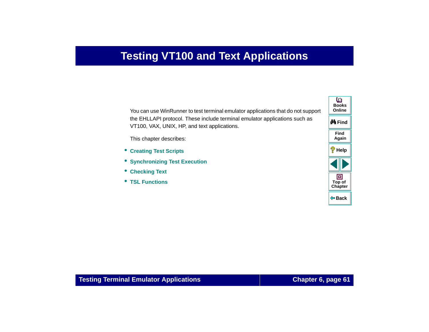# **Testing VT100 and Text Applications**

<span id="page-60-0"></span>You can use WinRunner to test terminal emulator applications that do not support the EHLLAPI protocol. These include terminal emulator applications such as VT100, VAX, UNIX, HP, and text applications.

This chapter describes:

- **[Creating Test Scripts](#page-62-0)**
- **[Synchronizing Test Execution](#page-64-0)**
- **[Checking Text](#page-67-0)**
- **[TSL Functions](#page-70-0)**

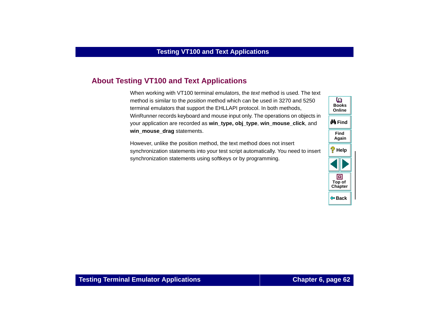# **About Testing VT100 and Text Applications**

When working with VT100 terminal emulators, the text method is used. The text method is similar to the position method which can be used in 3270 and 5250 terminal emulators that support the EHLLAPI protocol. In both methods, WinRunner records keyboard and mouse input only. The operations on objects in your application are recorded as **win\_type, obj\_type**, **win\_mouse\_click**, and **win\_mouse\_drag** statements.

However, unlike the position method, the text method does not insert synchronization statements into your test script automatically. You need to insert synchronization statements using softkeys or by programming.

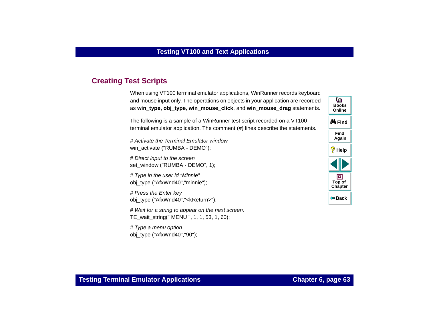# <span id="page-62-0"></span>**Creating Test Scripts**

When using VT100 terminal emulator applications, WinRunner records keyboard and mouse input only. The operations on objects in your application are recorded as **win\_type, obj\_type**, **win\_mouse\_click**, and **win\_mouse\_drag** statements.

The following is a sample of a WinRunner test script recorded on a VT100 terminal emulator application. The comment (#) lines describe the statements.

# Activate the Terminal Emulator windowwin\_activate ("RUMBA - DEMO");

# Direct input to the screen set\_window ("RUMBA - DEMO", 1);

# Type in the user id "Minnie" obj\_type ("AfxWnd40","minnie");

# Press the Enter key obj\_type ("AfxWnd40","<kReturn>");

# Wait for a string to appear on the next screen. TE\_wait\_string(" MENU ", 1, 1, 53, 1, 60);

# Type a menu option. obj\_type ("AfxWnd40","90");

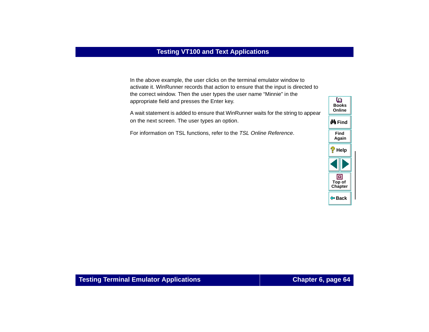In the above example, the user clicks on the terminal emulator window to activate it. WinRunner records that action to ensure that the input is directed to the correct window. Then the user types the user name "Minnie" in the appropriate field and presses the Enter key.

A wait statement is added to ensure that WinRunner waits for the string to appear on the next screen. The user types an option.

For information on TSL functions, refer to the TSL Online Reference.

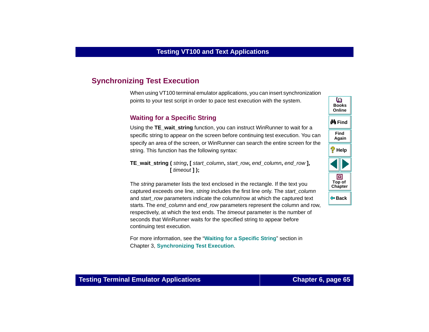# <span id="page-64-0"></span>**Synchronizing Test Execution**

When using VT100 terminal emulator applications, you can insert synchronization points to your test script in order to pace test execution with the system.

### **Waiting for a Specific String**

Using the **TE\_wait\_string** function, you can instruct WinRunner to wait for a specific string to appear on the screen before continuing test execution. You can specify an area of the screen, or WinRunner can search the entire screen for the string. This function has the following syntax:

**TE\_wait\_string (** string**, [** start\_column**,** start\_row**,** end\_column**,** end\_row **], [** timeout **] );**

The *string* parameter lists the text enclosed in the rectangle. If the text you captured exceeds one line, string includes the first line only. The start column and start row parameters indicate the column/row at which the captured text starts. The end column and end row parameters represent the column and row, respectively, at which the text ends. The *timeout* parameter is the number of seconds that WinRunner waits for the specified string to appear before continuing test execution.

For more information, see the "**[Waiting for a Specific String](#page-30-0)**" section in Chapter 3, **[Synchronizing Test Execution](#page-28-1)**.

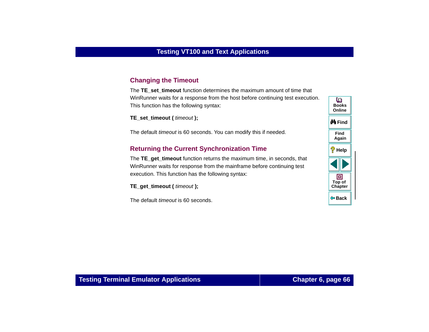### **Changing the Timeout**

The **TE** set timeout function determines the maximum amount of time that WinRunner waits for a response from the host before continuing test execution. This function has the following syntax:

**TE\_set\_timeout (** timeout **);**

The default *timeout* is 60 seconds. You can modify this if needed.

#### **Returning the Current Synchronization Time**

The **TE\_get\_timeout** function returns the maximum time, in seconds, that WinRunner waits for response from the mainframe before continuing test execution. This function has the following syntax:

**TE\_get\_timeout (** timeout **);**

The default timeout is 60 seconds.

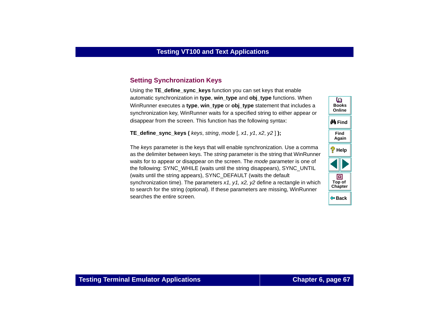# **Setting Synchronization Keys**

Using the **TE** define sync keys function you can set keys that enable automatic synchronization in **type**, **win\_type** and **obj\_type** functions. When WinRunner executes a **type**, **win\_type** or **obj\_type** statement that includes a synchronization key, WinRunner waits for a specified string to either appear or disappear from the screen. This function has the following syntax:

**TE** define sync keys (*keys, string, mode*  $[$ , x1, y1, x2, y2  $]$ );

The keys parameter is the keys that will enable synchronization. Use a comma as the delimiter between keys. The string parameter is the string that WinRunner waits for to appear or disappear on the screen. The mode parameter is one of the following: SYNC\_WHILE (waits until the string disappears), SYNC\_UNTIL (waits until the string appears), SYNC\_DEFAULT (waits the default synchronization time). The parameters  $x_1$ ,  $y_1$ ,  $x_2$ ,  $y_2$  define a rectangle in which to search for the string (optional). If these parameters are missing, WinRunner searches the entire screen.

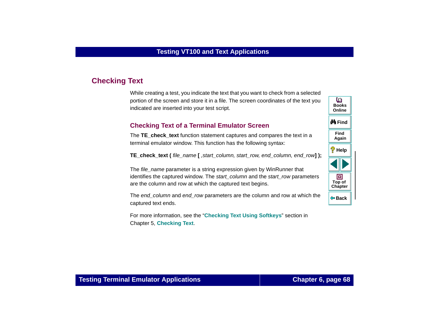# <span id="page-67-0"></span>**Checking Text**

While creating a test, you indicate the text that you want to check from a selected portion of the screen and store it in a file. The screen coordinates of the text you indicated are inserted into your test script.

### **Checking Text of a Terminal Emulator Screen**

The **TE\_check\_text** function statement captures and compares the text in a terminal emulator window. This function has the following syntax:

**TE\_check\_text (** file\_name **[** ,start\_column, start\_row, end\_column, end\_row] );

The file\_name parameter is a string expression given by WinRunner that identifies the captured window. The *start column* and the *start row* parameters are the column and row at which the captured text begins.

The end column and end row parameters are the column and row at which the captured text ends.

For more information, see the "**[Checking Text Using Softkeys](#page-51-1)**" section in Chapter 5, **[Checking Text](#page-45-1)**.

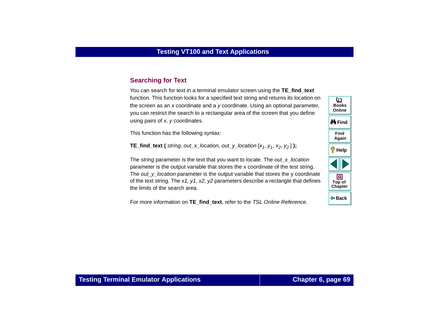### **Searching for Text**

You can search for text in a terminal emulator screen using the **TE** find text function. This function looks for a specified text string and returns its location on the screen as an x coordinate and a y coordinate. Using an optional parameter, you can restrict the search to a rectangular area of the screen that you define using pairs of <sup>x</sup>, y coordinates.

This function has the following syntax:

**TE\_find\_text (** string, out\_x\_location, out\_y\_location [x<sub>1</sub>, y<sub>1</sub>, x<sub>2</sub>, y<sub>2</sub>] **)**;

The string parameter is the text that you want to locate. The out\_x\_location parameter is the output variable that stores the x coordinate of the test string. The *out*  $\gamma$  location parameter is the output variable that stores the  $\gamma$  coordinate of the text string. The  $x1$ ,  $y1$ ,  $x2$ ,  $y2$  parameters describe a rectangle that defines the limits of the search area.

For more information on **TE\_find\_text**, refer to the TSL Online Reference.

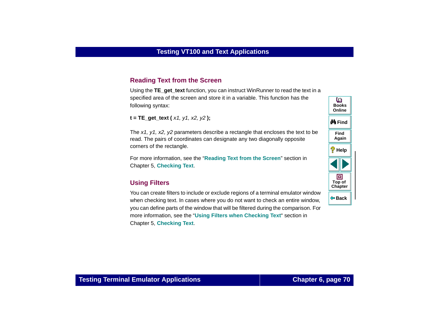#### **Reading Text from the Screen**

Using the **TE** get text function, you can instruct WinRunner to read the text in a specified area of the screen and store it in a variable. This function has the following syntax:

**t = TE\_get\_text (** x1, y1, x2, y2 **);**

The  $x1$ ,  $y1$ ,  $x2$ ,  $y2$  parameters describe a rectangle that encloses the text to be read. The pairs of coordinates can designate any two diagonally opposite corners of the rectangle.

For more information, see the "**[Reading Text from the Screen](#page-58-1)**" section in Chapter 5, **[Checking Text](#page-45-1)**.

#### **Using Filters**

You can create filters to include or exclude regions of a terminal emulator window when checking text. In cases where you do not want to check an entire window, you can define parts of the window that will be filtered during the comparison. For more information, see the "**[Using Filters when Checking Text](#page-53-1)**" section in Chapter 5, **[Checking Text](#page-45-1)**.

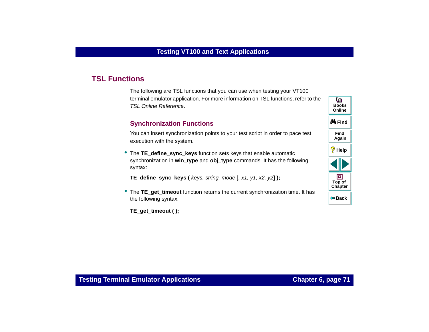# <span id="page-70-0"></span>**TSL Functions**

The following are TSL functions that you can use when testing your VT100 terminal emulator application. For more information on TSL functions, refer to the TSL Online Reference.

#### **Synchronization Functions**

You can insert synchronization points to your test script in order to pace test execution with the system.

• The **TE\_define\_sync\_keys** function sets keys that enable automatic synchronization in **win** type and obj type commands. It has the following syntax:

**TE\_define\_sync\_keys (** keys, string, mode **[**, x1, y1, x2, y2**] );**

- •The **TE** get timeout function returns the current synchronization time. It has the following syntax:
	- **TE\_get\_timeout ( );**

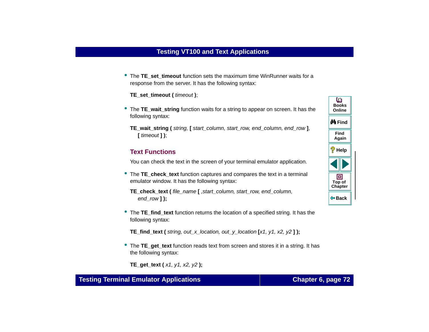• The TE set timeout function sets the maximum time WinRunner waits for a response from the server. It has the following syntax:

**TE\_set\_timeout (** timeout **)**;

- The **TE\_wait\_string** function waits for a string to appear on screen. It has the following syntax:
	- **TE\_wait\_string (** string, **[** start\_column, start\_row, end\_column, end\_row **]**, **[** timeout **] )**;

#### **Text Functions**

You can check the text in the screen of your terminal emulator application.

- The **TE\_check\_text** function captures and compares the text in a terminal emulator window. It has the following syntax:
	- **TE\_check\_text (** file\_name **[** ,start\_column, start\_row, end\_column, end row **]**);
- The **TE\_find\_text** function returns the location of a specified string. It has the following syntax:

**TE** find text ( string, out x location, out y location  $[x1, y1, x2, y2]$  );

• The **TE\_get\_text** function reads text from screen and stores it in a string. It has the following syntax:

**TE\_get\_text (** x1, y1, x2, y2 **);**

**Back**

**[Chapter](#page-60-0) Top of**

回

**Find**

**Again**

**Help**

**M** Find

**BooksOnline**

o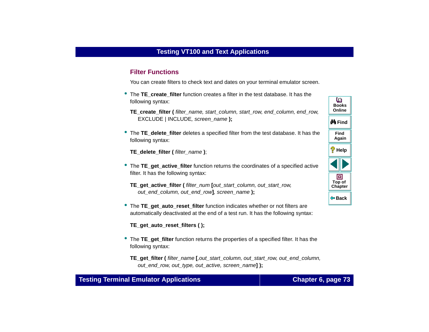### <span id="page-72-5"></span>**Filter Functions**

<span id="page-72-0"></span>You can create filters to check text and dates on your terminal emulator screen.

- **The TE create filter** function creates a filter in the test database. It has the following syntax:
	- **TE\_create\_filter (** filter\_name, start\_column, start\_row, end\_column, end\_row, EXCLUDE | INCLUDE, screen\_name **);**
- <span id="page-72-1"></span>• The **TE\_delete\_filter** deletes a specified filter from the test database. It has the following syntax:

<span id="page-72-2"></span>**TE\_delete\_filter (** filter\_name **)**;

- The **TE\_get\_active\_filter** function returns the coordinates of a specified active filter. It has the following syntax:
	- **TE\_get\_active\_filter (** filter\_num **[**out\_start\_column, out\_start\_row, out\_end\_column, out\_end\_row**]**, screen\_name **);**
- <span id="page-72-3"></span>• The **TE\_get\_auto\_reset\_filter** function indicates whether or not filters are automatically deactivated at the end of a test run. It has the following syntax:

<span id="page-72-4"></span>**TE\_get\_auto\_reset\_filters ( );**

• The **TE\_get\_filter** function returns the properties of a specified filter. It has the following syntax:

**TE\_get\_filter (** filter\_name **[**,out\_start\_column, out\_start\_row, out\_end\_column, out\_end\_row, out\_type, out\_active, screen\_name**] );**

## **Testing Terminal Emulator Applications Chapter 6, page 73**

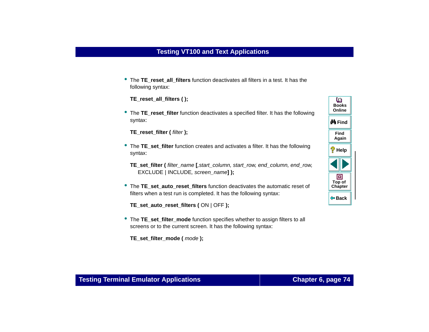<span id="page-73-0"></span>• The **TE\_reset\_all\_filters** function deactivates all filters in a test. It has the following syntax:

<span id="page-73-1"></span>**TE\_reset\_all\_filters ( );**

• The **TE\_reset\_filter** function deactivates a specified filter. It has the following syntax:

<span id="page-73-3"></span>**TE\_reset\_filter (** filter **);**

- The **TE\_set\_filter** function creates and activates a filter. It has the following syntax:
	- **TE\_set\_filter (** filter\_name **[**,start\_column, start\_row, end\_column, end\_row, EXCLUDE | INCLUDE, screen\_name**] );**
- <span id="page-73-2"></span>• The **TE\_set\_auto\_reset\_filters** function deactivates the automatic reset of filters when a test run is completed. It has the following syntax:

<span id="page-73-4"></span>**TE\_set\_auto\_reset\_filters (** ON | OFF **);**

• The **TE\_set\_filter\_mode** function specifies whether to assign filters to all screens or to the current screen. It has the following syntax:

<span id="page-73-5"></span>**TE\_set\_filter\_mode (** mode **);**

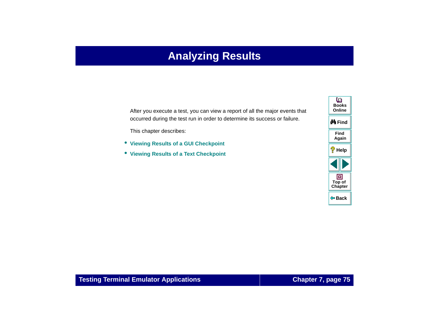# **Analyzing Results**

<span id="page-74-1"></span><span id="page-74-0"></span>After you execute a test, you can view a report of all the major events that occurred during the test run in order to determine its success or failure.

This chapter describes:

- **[Viewing Results of a GUI Checkpoint](#page-75-0)**
- **[Viewing Results of a Text Checkpoint](#page-77-0)**

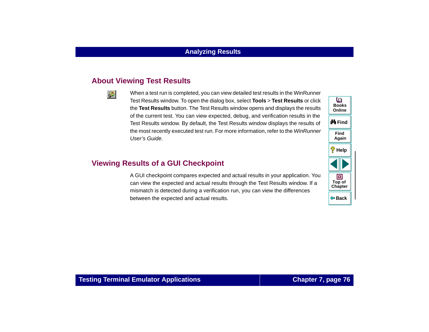# **About Viewing Test Results**

髿

When a test run is completed, you can view detailed test results in the WinRunner Test Results window. To open the dialog box, select **Tools** > **Test Results** or click the **Test Results** button. The Test Results window opens and displays the results of the current test. You can view expected, debug, and verification results in the Test Results window. By default, the Test Results window displays the results of the most recently executed test run. For more information, refer to the WinRunner User's Guide.

# <span id="page-75-0"></span>**Viewing Results of a GUI Checkpoint**

A GUI checkpoint compares expected and actual results in your application. You can view the expected and actual results through the Test Results window. If a mismatch is detected during a verification run, you can view the differences between the expected and actual results.

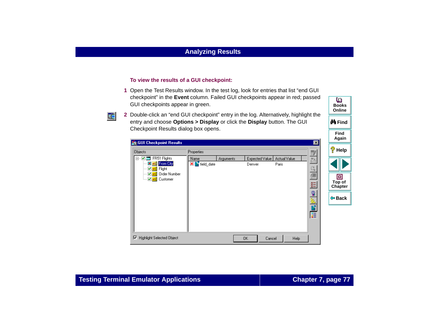#### **To view the results of a GUI checkpoint:**

- **1** Open the Test Results window. In the test log, look for entries that list "end GUI checkpoint" in the **Event** column. Failed GUI checkpoints appear in red; passed GUI checkpoints appear in green.
- Ee
- **2** Double-click an "end GUI checkpoint" entry in the log. Alternatively, highlight the entry and choose **Options > Display** or click the **Display** button. The GUI Checkpoint Results dialog box opens.

| <b>SI</b> GUI Checkpoint Results<br><b>Objects</b><br><b>▽ ■ FR51 Flights</b><br>$\boxdot$<br>X abi From City<br>Mabl Flight<br>ab) Order Number<br>◡<br>☑ abl Customer<br>1.1.1.1.1 | Properties<br>Name<br>X   field_date | <b>Arguments</b> | Expected Value<br>Denver | Actual Value<br>Paris | ⊠<br>B)<br>為<br>Q<br>$\frac{1}{\rm{RCT}}$<br>廷<br>$\frac{1}{\sqrt{2}}$ | Again<br>?<br>Help<br>▣<br>Top of<br>Chapter<br>$\Leftrightarrow$ Back |
|--------------------------------------------------------------------------------------------------------------------------------------------------------------------------------------|--------------------------------------|------------------|--------------------------|-----------------------|------------------------------------------------------------------------|------------------------------------------------------------------------|
| 1⊽<br><b>Highlight Selected Object</b>                                                                                                                                               |                                      |                  | 0K<br>Cancel             | Help                  | 匿                                                                      |                                                                        |

**Find**

**M**Find

**BooksOnline**

o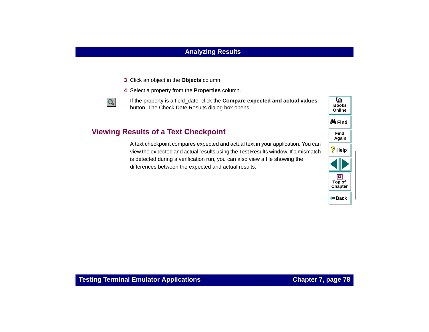- **3** Click an object in the **Objects** column.
- **4** Select a property from the **Properties** column.



If the property is a field\_date, click the **Compare expected and actual values** button. The Check Date Results dialog box opens.

# <span id="page-77-0"></span>**Viewing Results of a Text Checkpoint**

A text checkpoint compares expected and actual text in your application. You can view the expected and actual results using the Test Results window. If a mismatch is detected during a verification run, you can also view a file showing the differences between the expected and actual results.

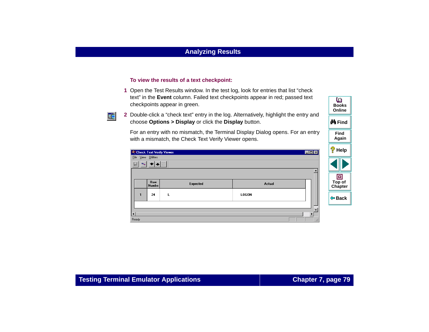#### **To view the results of a text checkpoint:**

- **1** Open the Test Results window. In the test log, look for entries that list "check text" in the **Event** column. Failed text checkpoints appear in red; passed text checkpoints appear in green.
- 医
- **2** Double-click a "check text" entry in the log. Alternatively, highlight the entry and choose **Options > Display** or click the **Display** button.

For an entry with no mismatch, the Terminal Display Dialog opens. For an entry with a mismatch, the Check Text Verify Viewer opens.

|                     |                                                                                                                                     | <b>W</b> Check Text Verify Viewer |        | EOX | ?<br><b>Help</b>       |
|---------------------|-------------------------------------------------------------------------------------------------------------------------------------|-----------------------------------|--------|-----|------------------------|
| File View Utilities |                                                                                                                                     |                                   |        |     |                        |
|                     | $\begin{array}{c} \hline \begin{array}{c} \hline \begin{array}{c} \hline \end{array} \\ \hline \end{array} \end{array} \end{array}$ |                                   |        |     |                        |
|                     |                                                                                                                                     |                                   |        |     | o                      |
|                     | <b>Row</b><br><b>Numbe</b>                                                                                                          | Expected                          | Actual |     | Top of<br>Chapter      |
|                     | 24                                                                                                                                  | L                                 | LOGON  |     | $\Leftrightarrow$ Back |
|                     |                                                                                                                                     |                                   |        |     |                        |
| $\vert \vert$       |                                                                                                                                     |                                   |        |     |                        |
| Ready               |                                                                                                                                     |                                   |        |     |                        |

**Find**

**Again**

**M** Find

**BooksOnline**

o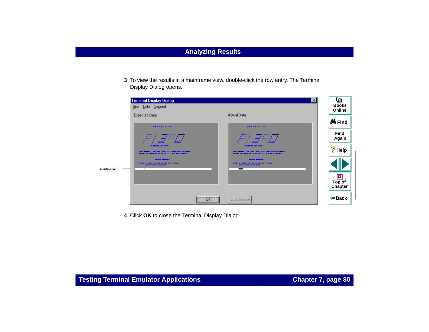**3** To view the results in a mainframe view, double-click the row entry. The Terminal Display Dialog opens.

|          | <b>Terminal Display Dialog</b>                                                                                                                                             | $ \mathbf{x} $                                                                                                                                     | o                      |
|----------|----------------------------------------------------------------------------------------------------------------------------------------------------------------------------|----------------------------------------------------------------------------------------------------------------------------------------------------|------------------------|
|          | Size Color Legend                                                                                                                                                          |                                                                                                                                                    | <b>Books</b><br>Online |
|          | Expected Data<br><b>HELERUE TH</b>                                                                                                                                         | Actual Data<br>HELERUE TH                                                                                                                          | <b>M</b> Find          |
|          | <b>MARKET PRESERT DOGGOOG</b><br>777777<br>$\mathbf{v}$ , $\mathbf{v}$ , $\mathbf{v}$<br><b>SHOW: 1777777 &amp;</b><br>777777<br>.<br><b>x</b><br>$1 - 10000000$<br>------ | 777777<br><b>MARKET PREPRET 3000000</b><br>$\cdots$<br>777777<br><b><i>P.A. P.</i></b><br>$\mathbf{z}$<br>$P = 14444444$                           | <b>Find</b><br>Again   |
|          | TO SERVED MAN S/STO<br>THIS SERIES IS REITTED MORE STOLLARDE, VIRGUING MORE<br>SHARE THE MONETHE IT IS IN SYSTEMS . NOTE (ANNUALLY).                                       | TO SHOWER MADE S/ S. P.<br>THESE SECOND EX RESTTENCIES FOR STATE CONDUCTIVITIES (ENROLL).<br>SHARE THE MONETHE IT IS IN SYSTEMS . NOTE (ANNUALLY). | $\frac{1}{3}$ Help     |
| mismatch | <b>BEZON BRANDE 2</b><br>MOTHER C. CARMIN, ME THE THE CARD HIS THE THRUST.<br><b>CORD TO CAR BY THE CORD</b><br>τ                                                          | <b>BEZON BROWNE 2</b><br>MOTHER C. CARMINAL MIC THIS THE CARD AND THE THRUST.<br><b>CORD TO CAR AN TO CORD</b><br><b>Locar</b>                     |                        |
|          |                                                                                                                                                                            |                                                                                                                                                    | o<br>Top of<br>Chapter |
|          | $\overline{\mathsf{C}}$ ok                                                                                                                                                 | Load Source                                                                                                                                        | $\Leftrightarrow$ Back |

 **4** Click **OK** to close the Terminal Display Dialog.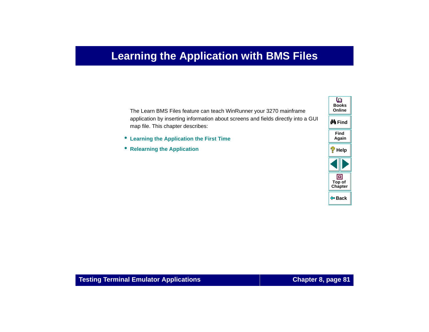# **Learning the Application with BMS Files**

<span id="page-80-2"></span><span id="page-80-1"></span><span id="page-80-0"></span>The Learn BMS Files feature can teach WinRunner your 3270 mainframe application by inserting information about screens and fields directly into a GUI map file. This chapter describes:

- **[Learning the Application the First Time](#page-82-0)**
- **[Relearning the Application](#page-84-0)**

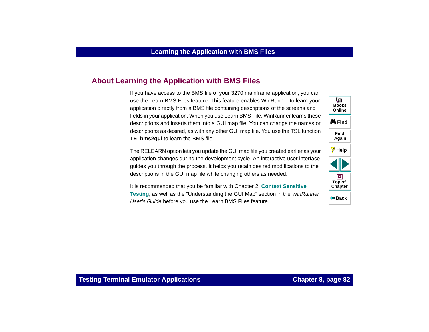# **About Learning the Application with BMS Files**

If you have access to the BMS file of your 3270 mainframe application, you can use the Learn BMS Files feature. This feature enables WinRunner to learn your application directly from a BMS file containing descriptions of the screens and fields in your application. When you use Learn BMS File, WinRunner learns these descriptions and inserts them into a GUI map file. You can change the names or descriptions as desired, as with any other GUI map file. You use the TSL function **TE\_bms2gui** to learn the BMS file.

The RELEARN option lets you update the GUI map file you created earlier as your application changes during the development cycle. An interactive user interface guides you through the process. It helps you retain desired modifications to the descriptions in the GUI map file while changing others as needed.

It is recommended that you be familiar with Chapter 2, **Context Sensitive Testing**, as well as the "Understanding the GUI Map" section in the WinRunner User's Guide before you use the Learn BMS Files feature.

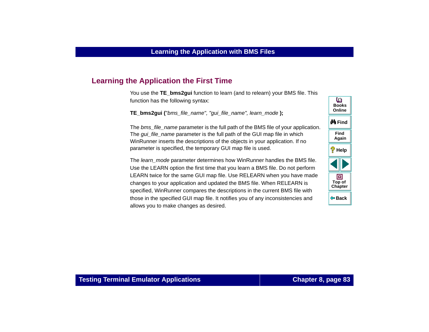# <span id="page-82-0"></span>**Learning the Application the First Time**

You use the **TE\_bms2gui** function to learn (and to relearn) your BMS file. This function has the following syntax:

<span id="page-82-2"></span>**TE\_bms2gui (**"bms\_file\_name", "gui\_file\_name", learn\_mode **);**

The *bms\_file\_name* parameter is the full path of the BMS file of your application. The *gui* file name parameter is the full path of the GUI map file in which WinRunner inserts the descriptions of the objects in your application. If no parameter is specified, the temporary GUI map file is used.

The learn mode parameter determines how WinRunner handles the BMS file. Use the LEARN option the first time that you learn a BMS file. Do not perform LEARN twice for the same GUI map file. Use RELEARN when you have made changes to your application and updated the BMS file. When RELEARN is specified, WinRunner compares the descriptions in the current BMS file with those in the specified GUI map file. It notifies you of any inconsistencies and allows you to make changes as desired.

<span id="page-82-1"></span>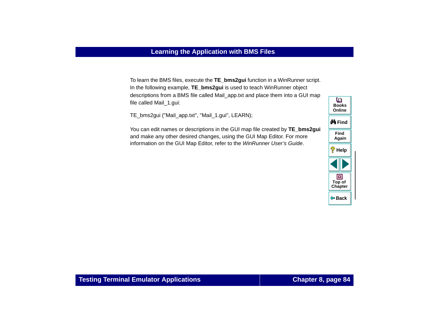To learn the BMS files, execute the **TE\_bms2gui** function in a WinRunner script. In the following example, **TE\_bms2gui** is used to teach WinRunner object descriptions from a BMS file called Mail\_app.txt and place them into a GUI map file called Mail\_1.gui:

TE\_bms2gui ("Mail\_app.txt", "Mail\_1.gui", LEARN);

You can edit names or descriptions in the GUI map file created by **TE\_bms2gui** and make any other desired changes, using the GUI Map Editor. For more information on the GUI Map Editor, refer to the WinRunner User's Guide.

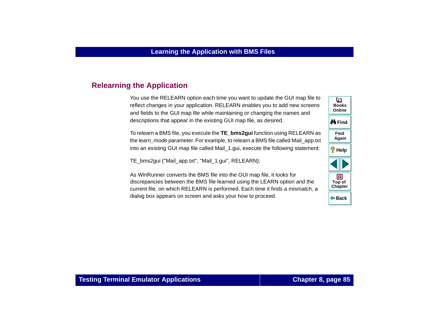# <span id="page-84-0"></span>**Relearning the Application**

<span id="page-84-1"></span>You use the RELEARN option each time you want to update the GUI map file to reflect changes in your application. RELEARN enables you to add new screens and fields to the GUI map file while maintaining or changing the names and descriptions that appear in the existing GUI map file, as desired.

To relearn a BMS file, you execute the **TE\_bms2gui** function using RELEARN as the learn\_mode parameter. For example, to relearn a BMS file called Mail\_app.txt into an existing GUI map file called Mail 1.gui, execute the following statement:

TE\_bms2gui ("Mail\_app.txt", "Mail\_1.gui", RELEARN);

As WinRunner converts the BMS file into the GUI map file, it looks for discrepancies between the BMS file learned using the LEARN option and the current file, on which RELEARN is performed. Each time it finds a mismatch, a dialog box appears on screen and asks your how to proceed.

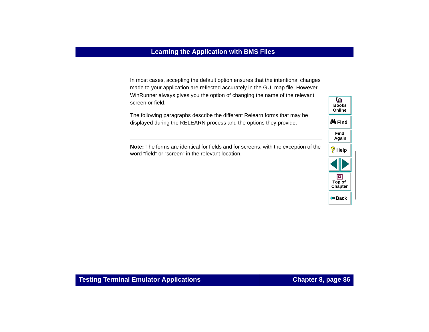In most cases, accepting the default option ensures that the intentional changes made to your application are reflected accurately in the GUI map file. However, WinRunner always gives you the option of changing the name of the relevant screen or field.

The following paragraphs describe the different Relearn forms that may be displayed during the RELEARN process and the options they provide.

**Note:** The forms are identical for fields and for screens, with the exception of the word "field" or "screen" in the relevant location.

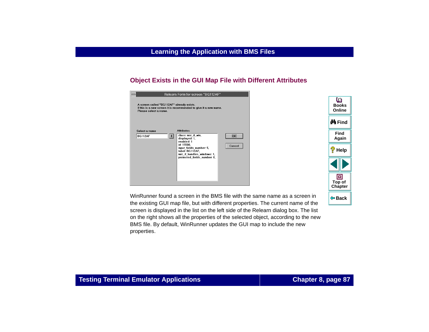### **Object Exists in the GUI Map File with Different Attributes**

| Relearn Form for screen "BG112AF"                                  |                                                                                                                                                                                                 |              |
|--------------------------------------------------------------------|-------------------------------------------------------------------------------------------------------------------------------------------------------------------------------------------------|--------------|
| A screen called "BG112AF" already exists.<br>Please select a name. | If this is a new screen it is recommended to give it a new name.                                                                                                                                |              |
| Select a name<br>BG112AF<br>国                                      | <b>Attributes</b><br>class: mic_if_win,<br>displayed: 1,<br>enabled: 1<br>id: 15500.<br>input_fields_number: 5,<br>label: BG112AF.<br>mic if handles windows: 1,<br>protected_fields_number: 0, | OK<br>Cancel |

o **BooksOnlineM** Find **FindAgain Help** 回 **Top of [Chapter](#page-80-0) Back**

WinRunner found a screen in the BMS file with the same name as a screen in the existing GUI map file, but with different properties. The current name of the screen is displayed in the list on the left side of the Relearn dialog box. The list on the right shows all the properties of the selected object, according to the new BMS file. By default, WinRunner updates the GUI map to include the new properties.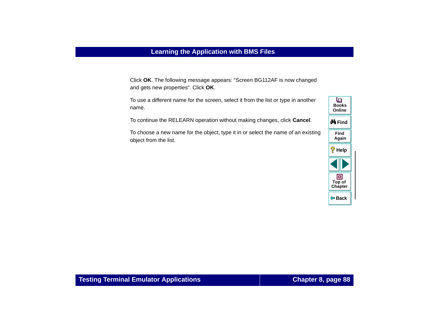Click **OK**. The following message appears: "Screen BG112AF is now changed and gets new properties". Click **OK**.

To use a different name for the screen, select it from the list or type in another name.

To continue the RELEARN operation without making changes, click **Cancel**.

To choose a new name for the object, type it in or select the name of an existing object from the list.

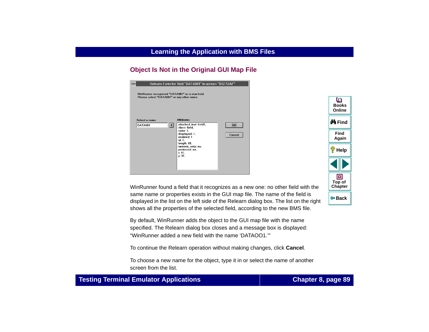# **Object Is Not in the Original GUI Map File**

|                                                                                              | Relearn Form for field "DATA001" in screen "BG112AF"                                                                                                                                                                        |
|----------------------------------------------------------------------------------------------|-----------------------------------------------------------------------------------------------------------------------------------------------------------------------------------------------------------------------------|
| WinRunner recognized "DATA001" as a new field.<br>Please select "DATA001" or any other name. |                                                                                                                                                                                                                             |
| Select a name<br>ᄖ<br><b>DATA001</b>                                                         | <b>Attributes</b><br>$\overline{OK}$<br>attached_text: field1,<br>class: field.<br>color: 1.<br>displayed: 1,<br>Cancel<br>enabled: 1<br>id: 1,<br>length: 09,<br>numeric_only: no,<br>protected: no,<br>$x:01$ .<br>v: 01. |

WinRunner found a field that it recognizes as a new one: no other field with the same name or properties exists in the GUI map file. The name of the field is displayed in the list on the left side of the Relearn dialog box. The list on the right shows all the properties of the selected field, according to the new BMS file.

By default, WinRunner adds the object to the GUI map file with the name specified. The Relearn dialog box closes and a message box is displayed: "WinRunner added a new field with the name 'DATAOO1.'"

To continue the Relearn operation without making changes, click **Cancel**.

To choose a new name for the object, type it in or select the name of another screen from the list.



### **Testing Terminal Emulator Applications Chapter 8, page 89**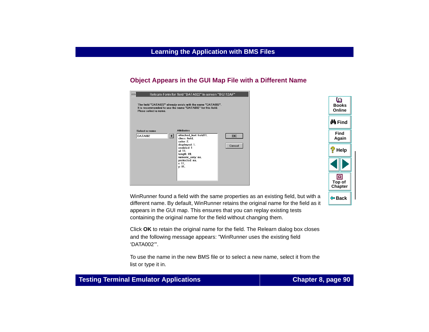### **Object Appears in the GUI Map File with a Different Name**

|                                                      | Relearn Form for field "DATA022" in screen "BG112AF"                                                                                                                                          |                          |
|------------------------------------------------------|-----------------------------------------------------------------------------------------------------------------------------------------------------------------------------------------------|--------------------------|
| Plese select a name                                  | The field "DATA022" already exists with the name "DATA002".<br>It is recommended to use the name "DATA002" for this field.                                                                    |                          |
| Select a name<br>$\vert \mathbf{F} \vert$<br>DATA002 | <b>Attributes</b><br>attached_text: field11,<br>class: field.<br>color: 2.<br>displayed: 1,<br>enabled: 1<br>id: 11,<br>length: 09,<br>numeric_only: no,<br>protected: no,<br>x:11.<br>v: 01. | --------<br>OK<br>Cancel |

WinRunner found a field with the same properties as an existing field, but with a different name. By default, WinRunner retains the original name for the field as it appears in the GUI map. This ensures that you can replay existing tests containing the original name for the field without changing them.

Click **OK** to retain the original name for the field. The Relearn dialog box closes and the following message appears: "WinRunner uses the existing field 'DATA002'".

<span id="page-89-0"></span>To use the name in the new BMS file or to select a new name, select it from the list or type it in.

#### **Testing Terminal Emulator Applications Chapter 8, page 90**

**Back**

**[Chapter](#page-80-0) Top of**

回

**Find**

**Again**

**Help**

**M** Find

**BooksOnline**

o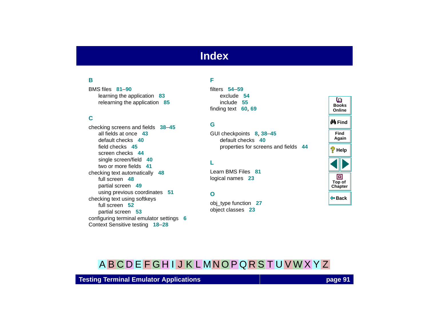# **Index**

### <span id="page-90-6"></span><span id="page-90-3"></span>**B**

BMS files **[81](#page-80-1)**–**[90](#page-89-0)**learning the application **[83](#page-82-1)** relearning the application **[85](#page-84-1)**

#### <span id="page-90-5"></span>**C**

checking screens and fields **[38](#page-37-0)**–**[45](#page-44-0)** all fields at once **[43](#page-42-0)**default checks **[40](#page-39-0)**field checks **[45](#page-44-1)**screen checks **[44](#page-43-0)**single screen/field **[40](#page-39-1)** two or more fields **[41](#page-40-0)**checking text automatically **[48](#page-47-0)** full screen **[48](#page-47-1)**partial screen **[49](#page-48-0)** using previous coordinates **[51](#page-50-0)** checking text using softkeys full screen **[52](#page-51-0)**partial screen **[53](#page-52-0)** configuring terminal emulator settings **[6](#page-5-0)** Context Sensitive testing **[18](#page-17-0)**–**[28](#page-27-0)**

#### <span id="page-90-0"></span>**F**

filters **[54](#page-53-0)**–**[59](#page-58-0)**exclude **[54](#page-53-1)**include **[55](#page-54-0)**finding text **[60](#page-59-0)**, **[69](#page-68-0)**

#### <span id="page-90-1"></span>**G**

GUI checkpoints **[8](#page-7-0)**, **[38](#page-37-0)**–**[45](#page-44-0)** default checks **[40](#page-39-0)**properties for screens and fields **[44](#page-43-1)**

#### <span id="page-90-2"></span>**L**

Learn BMS Files **[81](#page-80-2)**logical names **[23](#page-22-0)**

#### <span id="page-90-4"></span>**O**

obj\_type function **[27](#page-26-0)** object classes **[23](#page-22-1)**

| ம<br><b>Books</b><br>Online |
|-----------------------------|
| <i>N</i> ∯iFind             |
| Find<br>Again               |
| ?<br>Help                   |
|                             |
| 回<br>Top of<br>Chapter      |
| (≔ Back                     |

# [A](#page-90-3) [B](#page-90-3) [C](#page-90-5) [D](#page-90-0) [E](#page-90-0) [F](#page-90-0) [G](#page-90-1) [H](#page-90-2) [I](#page-90-2) [J](#page-90-2) [K](#page-90-2) [L](#page-90-2) [M](#page-90-4) [N](#page-90-4) [O](#page-90-4) [P](#page-91-1) [Q](#page-91-0) [R](#page-91-0) [S](#page-91-2) [T](#page-91-3) [U](#page-92-0) [V](#page-92-0) [W](#page-92-1) [X](#page-92-2) [Y](#page-92-2) Z

**Testing Terminal Emulator Applications page 91**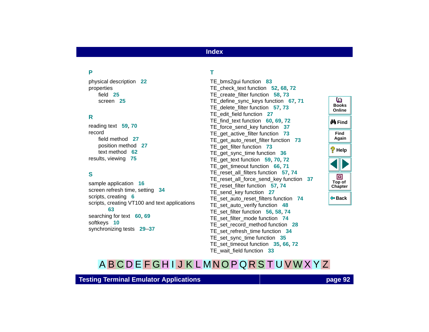# **Index**

#### <span id="page-91-1"></span>**P**

physical description **[22](#page-21-0)** properties field **[25](#page-24-0)**screen **[25](#page-24-0)**

#### <span id="page-91-0"></span>**R**

reading text **[59](#page-58-1)**, **[70](#page-69-0)** recordfield method **[27](#page-26-1)**position method **[27](#page-26-1)** text method **[62](#page-61-0)**results, viewing **[75](#page-74-1)**

### <span id="page-91-2"></span>**S**

sample application **[16](#page-15-0)** screen refresh time[,](#page-5-1) settin[g](#page-5-1) **[34](#page-33-0)** scripts, creating **6** scripts, creating VT100 and text applications **[63](#page-62-0)**searching for text **[60](#page-59-0)**, **[69](#page-68-0)** softkeys **[10](#page-9-0)** synchronizing tests **[29](#page-28-0)**–**[37](#page-36-0)**

#### <span id="page-91-3"></span>**T**

TE\_bms2gui function **[83](#page-82-2)** TE\_check\_text function **[52](#page-51-0)**, **[68](#page-67-0)**, **[72](#page-71-0)** TE\_create\_filter function **[58](#page-57-0)**, **[73](#page-72-0)** TE\_define\_sync\_keys function **[67](#page-66-0)**, **[71](#page-70-0)** TE\_delete\_filter function **[57](#page-56-0)**, **[73](#page-72-1)** TE\_edit\_field function **[27](#page-26-2)** TE\_find\_text function **[60](#page-59-0)**, **[69](#page-68-0)**, **[72](#page-71-1)** TE\_force\_send\_key function **[37](#page-36-1)** TE\_get\_active\_filter function **[73](#page-72-2)** TE\_get\_auto\_reset\_filter function **[73](#page-72-3)** TE\_get\_filter function **[73](#page-72-4)** TE\_get\_sync\_time function **[36](#page-35-0)** TE\_get\_text function **[59](#page-58-1)**, **[70](#page-69-0)**, **[72](#page-71-2)** TE\_get\_timeout function **[66](#page-65-0)**, **[71](#page-70-1)** TE\_reset\_all\_filters function **[57](#page-56-1)**, **[74](#page-73-0)** TE\_reset\_all\_force\_send\_key function **[37](#page-36-2)** TE\_reset\_filter function **[57](#page-56-1)**, **[74](#page-73-1)** TE\_send\_key function **[27](#page-26-3)** TE\_set\_auto\_reset\_filters function **[74](#page-73-2)** TE\_set\_auto\_v[erify function](#page-22-1) **[48](#page-47-1)** TE\_set\_filter function **[56](#page-55-0)**, **[58](#page-57-0)**, **[74](#page-73-3)** TE\_set\_filter\_mode function **[74](#page-73-4)** TE\_set\_record\_method function **[28](#page-27-1)** TE\_set\_refresh\_time function **[34](#page-33-0)** TE\_set\_sync\_time function **[35](#page-34-0)** TE\_set\_timeout function **[35](#page-34-1)**, **[66](#page-65-1)**, **[72](#page-71-3)** TE\_wait\_field function **[33](#page-32-0)**



# [A](#page-90-3) [B](#page-90-3) [C](#page-90-5) [D](#page-90-0) [E](#page-90-0) [F](#page-90-0) [G](#page-90-1) [H](#page-90-2) [I](#page-90-2) [J](#page-90-2) [K](#page-90-2) [L](#page-90-2) [M](#page-90-4) [N](#page-90-4) [O](#page-90-4) [P](#page-91-1) [Q](#page-91-0) [R](#page-91-0) [S](#page-91-2) [T](#page-91-3) [U](#page-92-0) [V](#page-92-0) [W](#page-92-1) [X](#page-92-2) [Y](#page-92-2) Z

**Testing Terminal Emulator Applications page 92**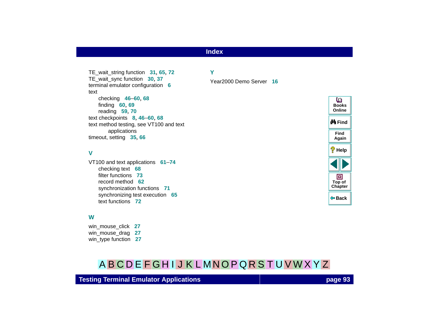# **Index**

TE\_wait\_string function **[31](#page-30-0)**, **[65](#page-64-0)**, **[72](#page-71-4)** TE\_wait\_sync function **[30](#page-29-0)**, **[37](#page-36-3)** terminal emulator configuration **[6](#page-5-0)** textchecking **[46](#page-45-0)**–**[60](#page-59-1)**, **[68](#page-67-1)** finding **[60](#page-59-0)**, **[69](#page-68-0)** reading **[59](#page-58-1)**, **[70](#page-69-0)** text checkpoints **[8](#page-7-1)**, **[46](#page-45-0)**–**[60](#page-59-1)**, **[68](#page-67-1)** [text method testing, see VT100 and text](#page-60-1)  applications timeout, setting **[35](#page-34-1)**, **[66](#page-65-1)**

#### <span id="page-92-0"></span>**V**

VT100 and text applications **[61](#page-60-2)**–**[74](#page-73-5)** checking text **[68](#page-67-1)** filter functions **[73](#page-72-5)**record method **[62](#page-61-0)**synchronization functions **[71](#page-70-2)** synchronizing test execution **[65](#page-64-1)** text functions **[72](#page-71-5)**

#### <span id="page-92-1"></span>**W**

win\_mouse\_click **[27](#page-26-4)** win\_mouse\_drag **[27](#page-26-5)** win\_type function **[27](#page-26-6)** 

# [A](#page-90-3) [B](#page-90-3) [C](#page-90-5) [D](#page-90-0) [E](#page-90-0) [F](#page-90-0) [G](#page-90-1) [H](#page-90-2) [I](#page-90-2) [J](#page-90-2) [K](#page-90-2) [L](#page-90-2) [M](#page-90-4) [N](#page-90-4) [O](#page-90-4) [P](#page-91-1) [Q](#page-91-0) [R](#page-91-0) [S](#page-91-2) [T](#page-91-3) [U](#page-92-0) [V](#page-92-0) [W](#page-92-1) [X](#page-92-2) [Y](#page-92-2) Z

<span id="page-92-2"></span>**Y**

Year2000 Demo Server **[16](#page-15-0)**



#### **Testing Terminal Emulator Applications page 93**